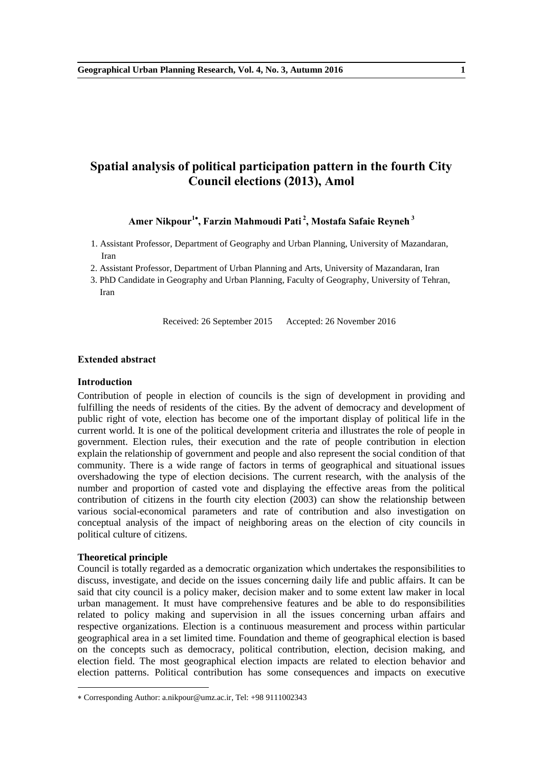# **Spatial analysis of political participation pattern in the fourth City Council elections (2013), Amol**

## **Amer Nikpour<sup>1</sup> , Farzin Mahmoudi Pati <sup>2</sup> , Mostafa Safaie Reyneh <sup>3</sup>**

- 1. Assistant Professor, Department of Geography and Urban Planning, University of Mazandaran, Iran
- 2. Assistant Professor, Department of Urban Planning and Arts, University of Mazandaran, Iran
- 3. PhD Candidate in Geography and Urban Planning, Faculty of Geography, University of Tehran, Iran

Received: 26 September 2015 Accepted: 26 November 2016

### **Extended abstract**

## **Introduction**

Contribution of people in election of councils is the sign of development in providing and fulfilling the needs of residents of the cities. By the advent of democracy and development of public right of vote, election has become one of the important display of political life in the current world. It is one of the political development criteria and illustrates the role of people in government. Election rules, their execution and the rate of people contribution in election explain the relationship of government and people and also represent the social condition of that community. There is a wide range of factors in terms of geographical and situational issues overshadowing the type of election decisions. The current research, with the analysis of the number and proportion of casted vote and displaying the effective areas from the political contribution of citizens in the fourth city election (2003) can show the relationship between various social-economical parameters and rate of contribution and also investigation on conceptual analysis of the impact of neighboring areas on the election of city councils in political culture of citizens.

#### **Theoretical principle**

-

Council is totally regarded as a democratic organization which undertakes the responsibilities to discuss, investigate, and decide on the issues concerning daily life and public affairs. It can be said that city council is a policy maker, decision maker and to some extent law maker in local urban management. It must have comprehensive features and be able to do responsibilities related to policy making and supervision in all the issues concerning urban affairs and respective organizations. Election is a continuous measurement and process within particular geographical area in a set limited time. Foundation and theme of geographical election is based on the concepts such as democracy, political contribution, election, decision making, and election field. The most geographical election impacts are related to election behavior and election patterns. Political contribution has some consequences and impacts on executive

Corresponding Author: a.nikpour@umz.ac.ir, Tel: +98 9111002343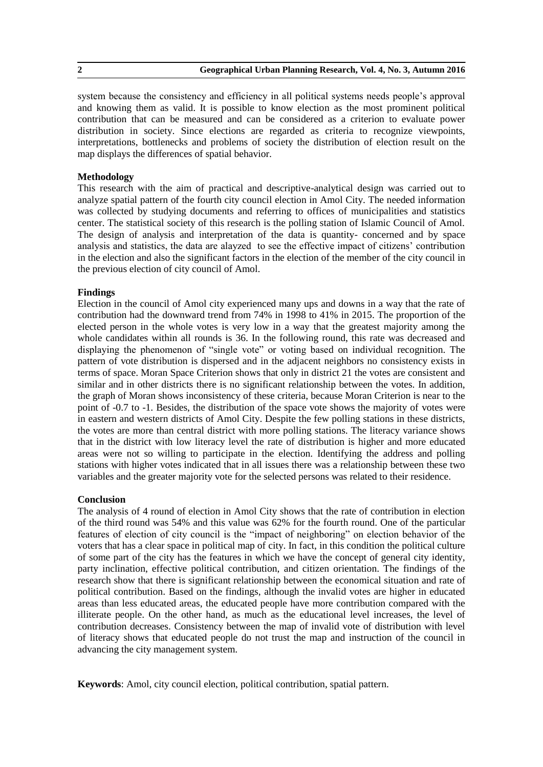system because the consistency and efficiency in all political systems needs people's approval and knowing them as valid. It is possible to know election as the most prominent political contribution that can be measured and can be considered as a criterion to evaluate power distribution in society. Since elections are regarded as criteria to recognize viewpoints, interpretations, bottlenecks and problems of society the distribution of election result on the map displays the differences of spatial behavior.

## **Methodology**

This research with the aim of practical and descriptive-analytical design was carried out to analyze spatial pattern of the fourth city council election in Amol City. The needed information was collected by studying documents and referring to offices of municipalities and statistics center. The statistical society of this research is the polling station of Islamic Council of Amol. The design of analysis and interpretation of the data is quantity- concerned and by space analysis and statistics, the data are alayzed to see the effective impact of citizens' contribution in the election and also the significant factors in the election of the member of the city council in the previous election of city council of Amol.

## **Findings**

Election in the council of Amol city experienced many ups and downs in a way that the rate of contribution had the downward trend from 74% in 1998 to 41% in 2015. The proportion of the elected person in the whole votes is very low in a way that the greatest majority among the whole candidates within all rounds is 36. In the following round, this rate was decreased and displaying the phenomenon of "single vote" or voting based on individual recognition. The pattern of vote distribution is dispersed and in the adjacent neighbors no consistency exists in terms of space. Moran Space Criterion shows that only in district 21 the votes are consistent and similar and in other districts there is no significant relationship between the votes. In addition, the graph of Moran shows inconsistency of these criteria, because Moran Criterion is near to the point of -0.7 to -1. Besides, the distribution of the space vote shows the majority of votes were in eastern and western districts of Amol City. Despite the few polling stations in these districts, the votes are more than central district with more polling stations. The literacy variance shows that in the district with low literacy level the rate of distribution is higher and more educated areas were not so willing to participate in the election. Identifying the address and polling stations with higher votes indicated that in all issues there was a relationship between these two variables and the greater majority vote for the selected persons was related to their residence.

## **Conclusion**

The analysis of 4 round of election in Amol City shows that the rate of contribution in election of the third round was 54% and this value was 62% for the fourth round. One of the particular features of election of city council is the "impact of neighboring" on election behavior of the voters that has a clear space in political map of city. In fact, in this condition the political culture of some part of the city has the features in which we have the concept of general city identity, party inclination, effective political contribution, and citizen orientation. The findings of the research show that there is significant relationship between the economical situation and rate of political contribution. Based on the findings, although the invalid votes are higher in educated areas than less educated areas, the educated people have more contribution compared with the illiterate people. On the other hand, as much as the educational level increases, the level of contribution decreases. Consistency between the map of invalid vote of distribution with level of literacy shows that educated people do not trust the map and instruction of the council in advancing the city management system.

**Keywords**: Amol, city council election, political contribution, spatial pattern.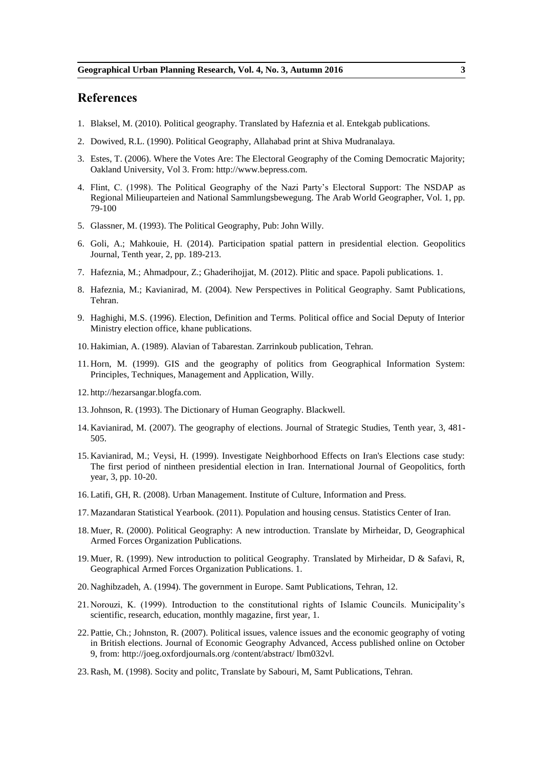- 1. Blaksel, M. (2010). Political geography. Translated by Hafeznia et al. Entekgab publications.
- 2. Dowived, R.L. (1990). Political Geography, Allahabad print at Shiva Mudranalaya.
- 3. Estes, T. (2006). Where the Votes Are: The Electoral Geography of the Coming Democratic Majority; Oakland University, Vol 3. From: http://www.bepress.com.
- 4. Flint, C. (1998). The Political Geography of the Nazi Party's Electoral Support: The NSDAP as Regional Milieuparteien and National Sammlungsbewegung. The Arab World Geographer, Vol. 1, pp. 79-100
- 5. Glassner, M. (1993). The Political Geography, Pub: John Willy.
- 6. Goli, A.; Mahkouie, H. (2014). Participation spatial pattern in presidential election. Geopolitics Journal, Tenth year, 2, pp. 189-213.
- 7. Hafeznia, M.; Ahmadpour, Z.; Ghaderihojjat, M. (2012). Plitic and space. Papoli publications. 1.
- 8. Hafeznia, M.; Kavianirad, M. (2004). New Perspectives in Political Geography. Samt Publications, Tehran.
- 9. Haghighi, M.S. (1996). Election, Definition and Terms. Political office and Social Deputy of Interior Ministry election office, khane publications.
- 10. Hakimian, A. (1989). Alavian of Tabarestan. Zarrinkoub publication, Tehran.
- 11. Horn, M. (1999). GIS and the geography of politics from Geographical Information System: Principles, Techniques, Management and Application, Willy.
- 12. http://hezarsangar.blogfa.com.
- 13.Johnson, R. (1993). The Dictionary of Human Geography. Blackwell.
- 14. Kavianirad, M. (2007). The geography of elections. Journal of Strategic Studies, Tenth year, 3, 481- 505.
- 15. Kavianirad, M.; Veysi, H. (1999). Investigate Neighborhood Effects on Iran's Elections case study: The first period of nintheen presidential election in Iran. International Journal of Geopolitics, forth year, 3, pp. 10-20.
- 16. Latifi, GH, R. (2008). Urban Management. Institute of Culture, Information and Press.
- 17. Mazandaran Statistical Yearbook. (2011). Population and housing census. Statistics Center of Iran.
- 18. Muer, R. (2000). Political Geography: A new introduction. Translate by Mirheidar, D, Geographical Armed Forces Organization Publications.
- 19. Muer, R. (1999). New introduction to political Geography. Translated by Mirheidar, D & Safavi, R, Geographical Armed Forces Organization Publications. 1.
- 20. Naghibzadeh, A. (1994). The government in Europe. Samt Publications, Tehran, 12.
- 21. Norouzi, K. (1999). Introduction to the constitutional rights of Islamic Councils. Municipality's scientific, research, education, monthly magazine, first year, 1.
- 22. Pattie, Ch.; Johnston, R. (2007). Political issues, valence issues and the economic geography of voting in British elections. Journal of Economic Geography Advanced, Access published online on October 9, from: http://joeg.oxfordjournals.org /content/abstract/ lbm032vl.
- 23.Rash, M. (1998). Socity and politc, Translate by Sabouri, M, Samt Publications, Tehran.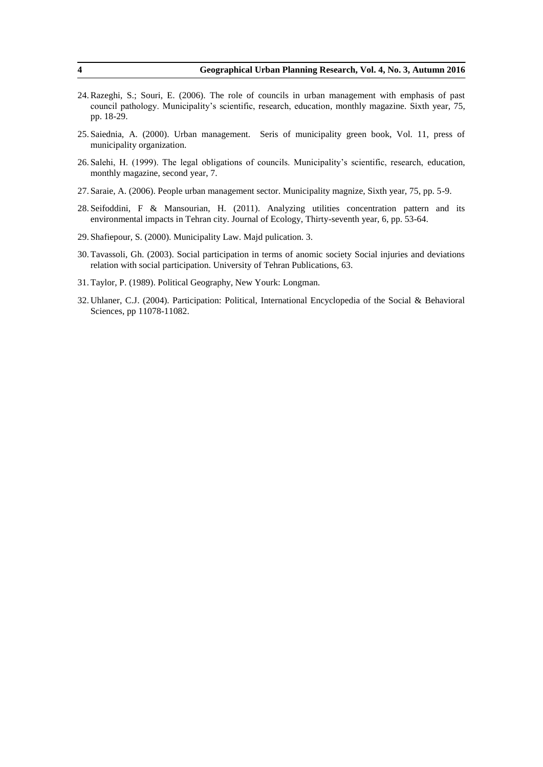- 24.Razeghi, S.; Souri, E. (2006). The role of councils in urban management with emphasis of past council pathology. Municipality's scientific, research, education, monthly magazine. Sixth year, 75, pp. 18-29.
- 25. Saiednia, A. (2000). Urban management. Seris of municipality green book, Vol. 11, press of municipality organization.
- 26. Salehi, H. (1999). The legal obligations of councils. Municipality's scientific, research, education, monthly magazine, second year, 7.
- 27. Saraie, A. (2006). People urban management sector. Municipality magnize, Sixth year, 75, pp. 5-9.
- 28. Seifoddini, F & Mansourian, H. (2011). Analyzing utilities concentration pattern and its environmental impacts in Tehran city. Journal of Ecology, Thirty-seventh year, 6, pp. 53-64.
- 29. Shafiepour, S. (2000). Municipality Law. Majd pulication. 3.
- 30. Tavassoli, Gh. (2003). Social participation in terms of anomic society Social injuries and deviations relation with social participation. University of Tehran Publications, 63.
- 31. Taylor, P. (1989). Political Geography, New Yourk: Longman.
- 32. Uhlaner, C.J. (2004). Participation: Political, International Encyclopedia of the Social & Behavioral Sciences, pp 11078-11082.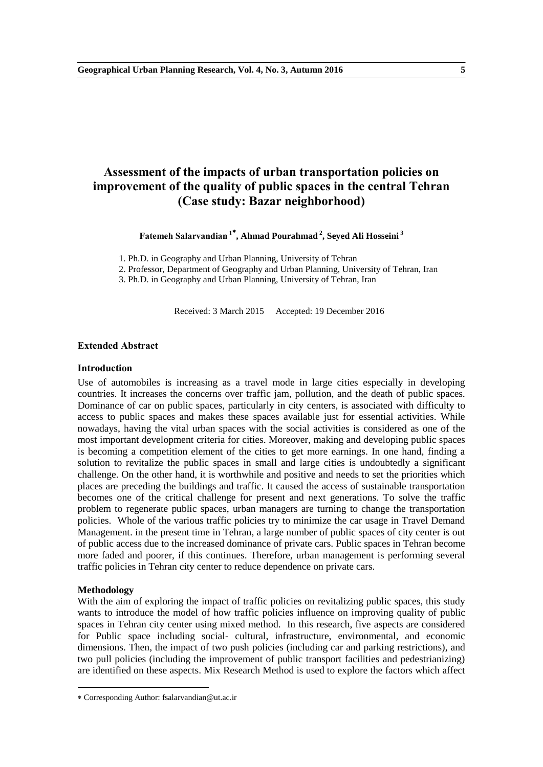# **Assessment of the impacts of urban transportation policies on improvement of the quality of public spaces in the central Tehran (Case study: Bazar neighborhood)**

**Fatemeh Salarvandian <sup>1</sup> , Ahmad Pourahmad <sup>2</sup> , Seyed Ali Hosseini <sup>3</sup>**

1. Ph.D. in Geography and Urban Planning, University of Tehran

2. Professor, Department of Geography and Urban Planning, University of Tehran, Iran

3. Ph.D. in Geography and Urban Planning, University of Tehran, Iran

Received: 3 March 2015 Accepted: 19 December 2016

## **Extended Abstract**

## **Introduction**

Use of automobiles is increasing as a travel mode in large cities especially in developing countries. It increases the concerns over traffic jam, pollution, and the death of public spaces. Dominance of car on public spaces, particularly in city centers, is associated with difficulty to access to public spaces and makes these spaces available just for essential activities. While nowadays, having the vital urban spaces with the social activities is considered as one of the most important development criteria for cities. Moreover, making and developing public spaces is becoming a competition element of the cities to get more earnings. In one hand, finding a solution to revitalize the public spaces in small and large cities is undoubtedly a significant challenge. On the other hand, it is worthwhile and positive and needs to set the priorities which places are preceding the buildings and traffic. It caused the access of sustainable transportation becomes one of the critical challenge for present and next generations. To solve the traffic problem to regenerate public spaces, urban managers are turning to change the transportation policies. Whole of the various traffic policies try to minimize the car usage in Travel Demand Management. in the present time in Tehran, a large number of public spaces of city center is out of public access due to the increased dominance of private cars. Public spaces in Tehran become more faded and poorer, if this continues. Therefore, urban management is performing several traffic policies in Tehran city center to reduce dependence on private cars.

#### **Methodology**

-

With the aim of exploring the impact of traffic policies on revitalizing public spaces, this study wants to introduce the model of how traffic policies influence on improving quality of public spaces in Tehran city center using mixed method. In this research, five aspects are considered for Public space including social- cultural, infrastructure, environmental, and economic dimensions. Then, the impact of two push policies (including car and parking restrictions), and two pull policies (including the improvement of public transport facilities and pedestrianizing) are identified on these aspects. Mix Research Method is used to explore the factors which affect

Corresponding Author: fsalarvandian@ut.ac.ir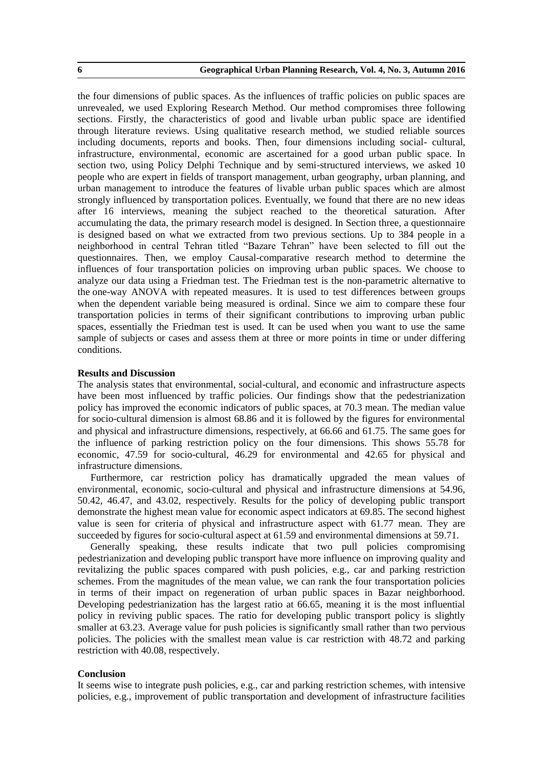the four dimensions of public spaces. As the influences of traffic policies on public spaces are unrevealed, we used Exploring Research Method. Our method compromises three following sections. Firstly, the characteristics of good and livable urban public space are identified through literature reviews. Using qualitative research method, we studied reliable sources including documents, reports and books. Then, four dimensions including social- cultural, infrastructure, environmental, economic are ascertained for a good urban public space. In section two, using Policy Delphi Technique and by semi-structured interviews, we asked 10 people who are expert in fields of transport management, urban geography, urban planning, and urban management to introduce the features of livable urban public spaces which are almost strongly influenced by transportation polices. Eventually, we found that there are no new ideas after 16 interviews, meaning the subject reached to the theoretical saturation. After accumulating the data, the primary research model is designed. In Section three, a questionnaire is designed based on what we extracted from two previous sections. Up to 384 people in a neighborhood in central Tehran titled "Bazare Tehran" have been selected to fill out the questionnaires. Then, we employ Causal-comparative research method to determine the influences of four transportation policies on improving urban public spaces. We choose to analyze our data using a Friedman test. The Friedman test is the non-parametric alternative to the one-way ANOVA with repeated measures. It is used to test differences between groups when the dependent variable being measured is ordinal. Since we aim to compare these four transportation policies in terms of their significant contributions to improving urban public spaces, essentially the Friedman test is used. It can be used when you want to use the same sample of subjects or cases and assess them at three or more points in time or under differing conditions.

## **Results and Discussion**

The analysis states that environmental, social-cultural, and economic and infrastructure aspects have been most influenced by traffic policies. Our findings show that the pedestrianization policy has improved the economic indicators of public spaces, at 70.3 mean. The median value for socio-cultural dimension is almost 68.86 and it is followed by the figures for environmental and physical and infrastructure dimensions, respectively, at 66.66 and 61.75. The same goes for the influence of parking restriction policy on the four dimensions. This shows 55.78 for economic, 47.59 for socio-cultural, 46.29 for environmental and 42.65 for physical and infrastructure dimensions.

Furthermore, car restriction policy has dramatically upgraded the mean values of environmental, economic, socio-cultural and physical and infrastructure dimensions at 54.96, 50.42, 46.47, and 43.02, respectively. Results for the policy of developing public transport demonstrate the highest mean value for economic aspect indicators at 69.85. The second highest value is seen for criteria of physical and infrastructure aspect with 61.77 mean. They are succeeded by figures for socio-cultural aspect at 61.59 and environmental dimensions at 59.71.

Generally speaking, these results indicate that two pull policies compromising pedestrianization and developing public transport have more influence on improving quality and revitalizing the public spaces compared with push policies, e.g., car and parking restriction schemes. From the magnitudes of the mean value, we can rank the four transportation policies in terms of their impact on regeneration of urban public spaces in Bazar neighborhood. Developing pedestrianization has the largest ratio at 66.65, meaning it is the most influential policy in reviving public spaces. The ratio for developing public transport policy is slightly smaller at 63.23. Average value for push policies is significantly small rather than two pervious policies. The policies with the smallest mean value is car restriction with 48.72 and parking restriction with 40.08, respectively.

### **Conclusion**

It seems wise to integrate push policies, e.g., car and parking restriction schemes, with intensive policies, e.g., improvement of public transportation and development of infrastructure facilities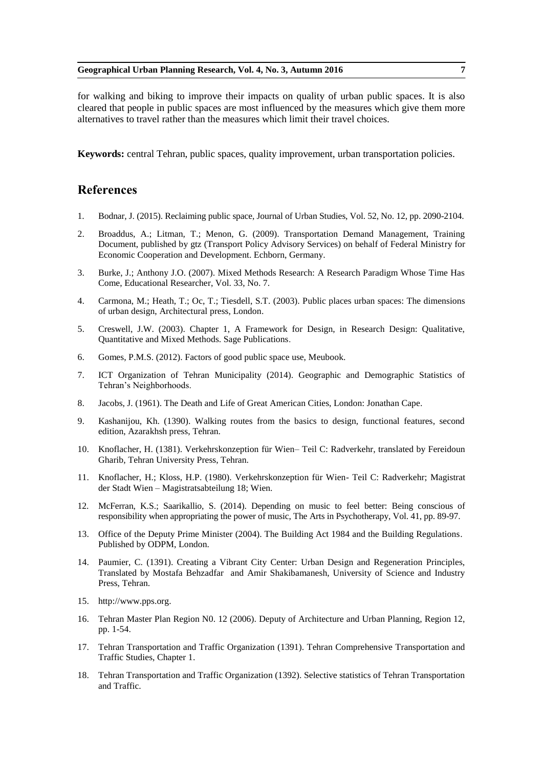for walking and biking to improve their impacts on quality of urban public spaces. It is also cleared that people in public spaces are most influenced by the measures which give them more alternatives to travel rather than the measures which limit their travel choices.

**Keywords:** central Tehran, public spaces, quality improvement, urban transportation policies.

- 1. Bodnar, J. (2015). Reclaiming public space, Journal of Urban Studies, Vol. 52, No. 12, pp. 2090-2104.
- 2. Broaddus, A.; Litman, T.; Menon, G. (2009). Transportation Demand Management, Training Document, published by gtz (Transport Policy Advisory Services) on behalf of Federal Ministry for Economic Cooperation and Development. Echborn, Germany.
- 3. Burke, J.; Anthony J.O. (2007). Mixed Methods Research: A Research Paradigm Whose Time Has Come, Educational Researcher, Vol. 33, No. 7.
- 4. Carmona, M.; Heath, T.; Oc, T.; Tiesdell, S.T. (2003). Public places urban spaces: The dimensions of urban design, Architectural press, London.
- 5. Creswell, J.W. (2003). Chapter 1, A Framework for Design, in Research Design: Qualitative, Quantitative and Mixed Methods. Sage Publications.
- 6. Gomes, P.M.S. (2012). Factors of good public space use, Meubook.
- 7. ICT Organization of Tehran Municipality (2014). Geographic and Demographic Statistics of Tehran's Neighborhoods.
- 8. Jacobs, J. (1961). The Death and Life of Great American Cities, London: Jonathan Cape.
- 9. Kashanijou, Kh. (1390). Walking routes from the basics to design, functional features, second edition, Azarakhsh press, Tehran.
- 10. Knoflacher, H. (1381). Verkehrskonzeption für Wien– Teil C: Radverkehr, translated by Fereidoun Gharib, Tehran University Press, Tehran.
- 11. Knoflacher, H.; Kloss, H.P. (1980). Verkehrskonzeption für Wien- Teil C: Radverkehr; Magistrat der Stadt Wien – Magistratsabteilung 18; Wien.
- 12. McFerran, K.S.; Saarikallio, S. (2014). Depending on music to feel better: Being conscious of responsibility when appropriating the power of music, The Arts in Psychotherapy, Vol. 41, pp. 89-97.
- 13. Office of the Deputy Prime Minister (2004). The Building Act 1984 and the Building Regulations. Published by ODPM, London.
- 14. Paumier, C. (1391). Creating a Vibrant City Center: Urban Design and Regeneration Principles, Translated by Mostafa Behzadfar and Amir Shakibamanesh, University of Science and Industry Press, Tehran.
- 15. http://www.pps.org.
- 16. Tehran Master Plan Region N0. 12 (2006). Deputy of Architecture and Urban Planning, Region 12, pp. 1-54.
- 17. Tehran Transportation and Traffic Organization (1391). Tehran Comprehensive Transportation and Traffic Studies, Chapter 1.
- 18. Tehran Transportation and Traffic Organization (1392). Selective statistics of Tehran Transportation and Traffic.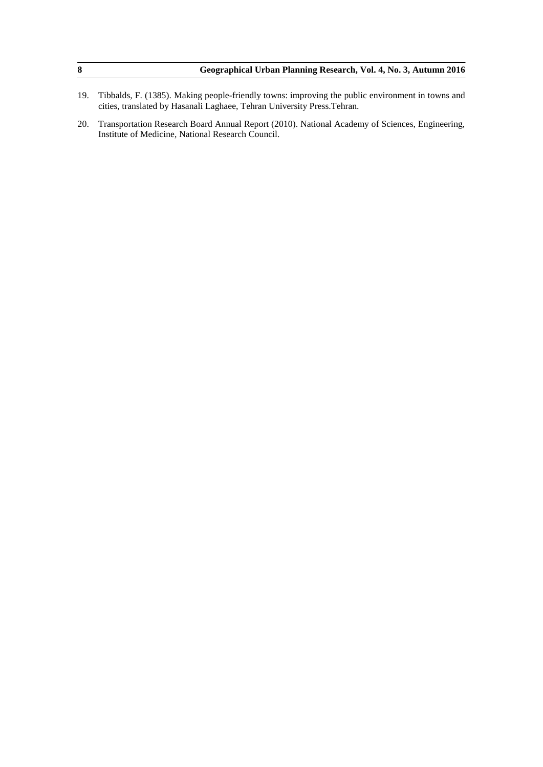| Geographical Urban Planning Research, Vol. 4, No. 3, Autumn 2016 |
|------------------------------------------------------------------|
|                                                                  |

- 19. Tibbalds, F. (1385). Making people-friendly towns: improving the public environment in towns and cities, translated by Hasanali Laghaee, Tehran University Press.Tehran.
- 20. Transportation Research Board Annual Report (2010). National Academy of Sciences, Engineering, Institute of Medicine, National Research Council.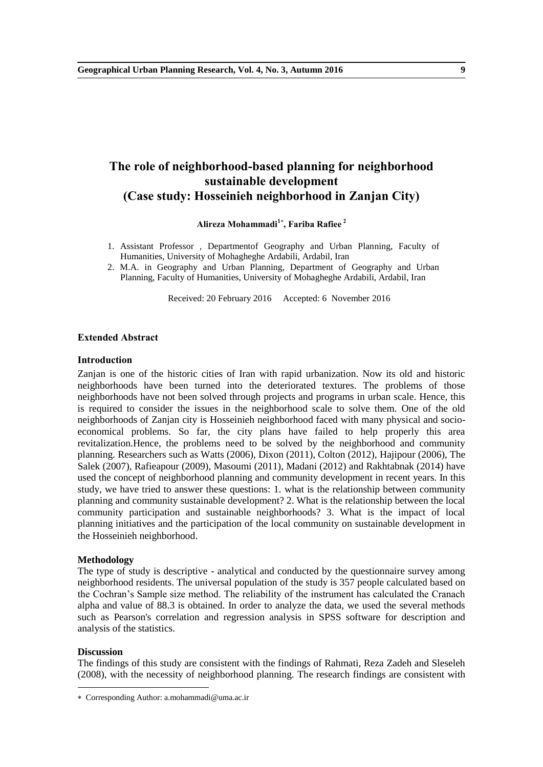# **The role of neighborhood-based planning for neighborhood sustainable development (Case study: Hosseinieh neighborhood in Zanjan City)**

**Alireza Mohammadi<sup>1</sup> , Fariba Rafiee <sup>2</sup>**

- 1. Assistant Professor , Departmentof Geography and Urban Planning, Faculty of Humanities, University of Mohagheghe Ardabili, Ardabil, Iran
- 2. M.A. in Geography and Urban Planning, Department of Geography and Urban Planning, Faculty of Humanities, University of Mohagheghe Ardabili, Ardabil, Iran

Received: 20 February 2016 Accepted: 6 November 2016

### **Extended Abstract**

#### **Introduction**

Zanjan is one of the historic cities of Iran with rapid urbanization. Now its old and historic neighborhoods have been turned into the deteriorated textures. The problems of those neighborhoods have not been solved through projects and programs in urban scale. Hence, this is required to consider the issues in the neighborhood scale to solve them. One of the old neighborhoods of Zanjan city is Hosseinieh neighborhood faced with many physical and socioeconomical problems. So far, the city plans have failed to help properly this area revitalization.Hence, the problems need to be solved by the neighborhood and community planning. Researchers such as Watts (2006), Dixon (2011), Colton (2012), Hajipour (2006), The Salek (2007), Rafieapour (2009), Masoumi (2011), Madani (2012) and Rakhtabnak (2014) have used the concept of neighborhood planning and community development in recent years. In this study, we have tried to answer these questions: 1. what is the relationship between community planning and community sustainable development? 2. What is the relationship between the local community participation and sustainable neighborhoods? 3. What is the impact of local planning initiatives and the participation of the local community on sustainable development in the Hosseinieh neighborhood.

#### **Methodology**

The type of study is descriptive - analytical and conducted by the questionnaire survey among neighborhood residents. The universal population of the study is 357 people calculated based on the Cochran's Sample size method. The reliability of the instrument has calculated the Cranach alpha and value of 88.3 is obtained. In order to analyze the data, we used the several methods such as Pearson's correlation and regression analysis in SPSS software for description and analysis of the statistics.

## **Discussion**

-

The findings of this study are consistent with the findings of Rahmati, Reza Zadeh and Sleseleh (2008), with the necessity of neighborhood planning. The research findings are consistent with

Corresponding Author: a.mohammadi@uma.ac.ir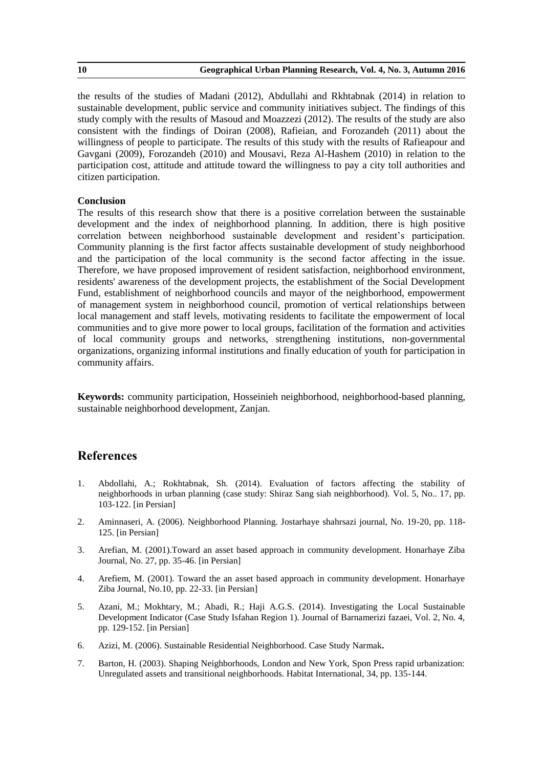the results of the studies of Madani (2012), Abdullahi and Rkhtabnak (2014) in relation to sustainable development, public service and community initiatives subject. The findings of this study comply with the results of Masoud and Moazzezi (2012). The results of the study are also consistent with the findings of Doiran (2008), Rafieian, and Forozandeh (2011) about the willingness of people to participate. The results of this study with the results of Rafieapour and Gavgani (2009), Forozandeh (2010) and Mousavi, Reza Al-Hashem (2010) in relation to the participation cost, attitude and attitude toward the willingness to pay a city toll authorities and citizen participation.

## **Conclusion**

The results of this research show that there is a positive correlation between the sustainable development and the index of neighborhood planning. In addition, there is high positive correlation between neighborhood sustainable development and resident's participation. Community planning is the first factor affects sustainable development of study neighborhood and the participation of the local community is the second factor affecting in the issue. Therefore, we have proposed improvement of resident satisfaction, neighborhood environment, residents' awareness of the development projects, the establishment of the Social Development Fund, establishment of neighborhood councils and mayor of the neighborhood, empowerment of management system in neighborhood council, promotion of vertical relationships between local management and staff levels, motivating residents to facilitate the empowerment of local communities and to give more power to local groups, facilitation of the formation and activities of local community groups and networks, strengthening institutions, non-governmental organizations, organizing informal institutions and finally education of youth for participation in community affairs.

**Keywords:** community participation, Hosseinieh neighborhood, neighborhood-based planning, sustainable neighborhood development, Zanjan.

- 1. Abdollahi, A.; Rokhtabnak, Sh. (2014). Evaluation of factors affecting the stability of neighborhoods in urban planning (case study: Shiraz Sang siah neighborhood). Vol. 5, No.. 17, pp. 103-122. [in Persian]
- 2. Aminnaseri, A. (2006). Neighborhood Planning. Jostarhaye shahrsazi journal, No. 19-20, pp. 118- 125. [in Persian]
- 3. Arefian, M. (2001).Toward an asset based approach in community development. Honarhaye Ziba Journal, No. 27, pp. 35-46. [in Persian]
- 4. Arefiem, M. (2001). Toward the an asset based approach in community development. Honarhaye Ziba Journal, No.10, pp. 22-33. [in Persian]
- 5. Azani, M.; Mokhtary, M.; Abadi, R.; Haji A.G.S. (2014). Investigating the Local Sustainable Development Indicator (Case Study Isfahan Region 1). Journal of Barnamerizi fazaei, Vol. 2, No. 4, pp. 129-152. [in Persian]
- 6. Azizi, M. (2006). Sustainable Residential Neighborhood. Case Study Narmak**.**
- 7. Barton, H. (2003). Shaping Neighborhoods, London and New York, Spon Press rapid urbanization: Unregulated assets and transitional neighborhoods. Habitat International, 34, pp. 135-144.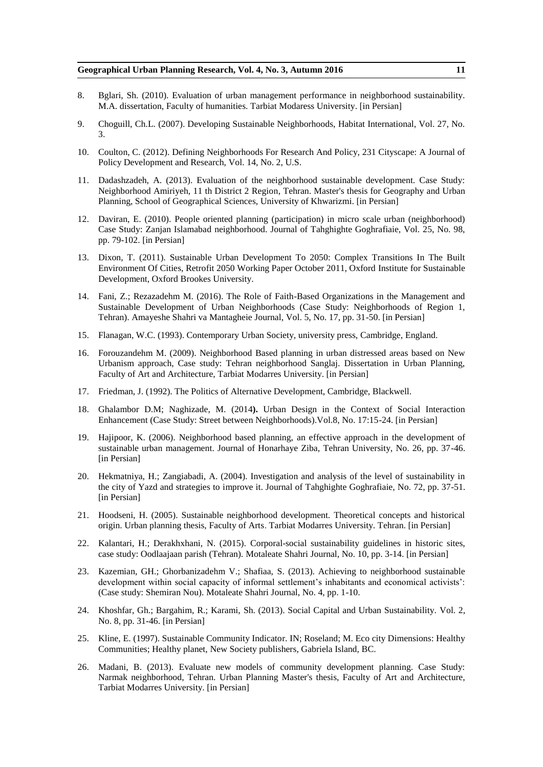#### **Geographical Urban Planning Research, Vol. 4, No. 3, Autumn 2016 11**

- 8. Bglari, Sh. (2010). Evaluation of urban management performance in neighborhood sustainability. M.A. dissertation, Faculty of humanities. Tarbiat Modaress University. [in Persian]
- 9. Choguill, Ch.L. (2007). Developing Sustainable Neighborhoods, Habitat International, Vol. 27, No. 3.
- 10. Coulton, C. (2012). Defining Neighborhoods For Research And Policy, 231 Cityscape: A Journal of Policy Development and Research, Vol. 14, No. 2, U.S.
- 11. Dadashzadeh, A. (2013). Evaluation of the neighborhood sustainable development. Case Study: Neighborhood Amiriyeh, 11 th District 2 Region, Tehran. Master's thesis for Geography and Urban Planning, School of Geographical Sciences, University of Khwarizmi. [in Persian]
- 12. Daviran, E. (2010). People oriented planning (participation) in micro scale urban (neighborhood) Case Study: Zanjan Islamabad neighborhood. Journal of Tahghighte Goghrafiaie, Vol. 25, No. 98, pp. 79-102. [in Persian]
- 13. Dixon, T. (2011). Sustainable Urban Development To 2050: Complex Transitions In The Built Environment Of Cities, Retrofit 2050 Working Paper October 2011, Oxford Institute for Sustainable Development, Oxford Brookes University.
- 14. Fani, Z.; Rezazadehm M. (2016). The Role of Faith-Based Organizations in the Management and Sustainable Development of Urban Neighborhoods (Case Study: Neighborhoods of Region 1, Tehran). Amayeshe Shahri va Mantagheie Journal, Vol. 5, No. 17, pp. 31-50. [in Persian]
- 15. Flanagan, W.C. (1993). Contemporary Urban Society, university press, Cambridge, England.
- 16. Forouzandehm M. (2009). Neighborhood Based planning in urban distressed areas based on New Urbanism approach, Case study: Tehran neighborhood Sanglaj. Dissertation in Urban Planning, Faculty of Art and Architecture, Tarbiat Modarres University. [in Persian]
- 17. Friedman, J. (1992). The Politics of Alternative Development, Cambridge, Blackwell.
- 18. Ghalambor D.M; Naghizade, M. (2014**).** Urban Design in the Context of Social Interaction Enhancement (Case Study: Street between Neighborhoods).Vol.8, No. 17:15-24. [in Persian]
- 19. Hajipoor, K. (2006). Neighborhood based planning, an effective approach in the development of sustainable urban management. Journal of Honarhaye Ziba, Tehran University, No. 26, pp. 37-46. [in Persian]
- 20. Hekmatniya, H.; Zangiabadi, A. (2004). Investigation and analysis of the level of sustainability in the city of Yazd and strategies to improve it. Journal of Tahghighte Goghrafiaie, No. 72, pp. 37-51. [in Persian]
- 21. Hoodseni, H. (2005). Sustainable neighborhood development. Theoretical concepts and historical origin. Urban planning thesis, Faculty of Arts. Tarbiat Modarres University. Tehran. [in Persian]
- 22. Kalantari, H.; Derakhxhani, N. (2015). Corporal-social sustainability guidelines in historic sites, case study: Oodlaajaan parish (Tehran). Motaleate Shahri Journal, No. 10, pp. 3-14. [in Persian]
- 23. Kazemian, GH.; Ghorbanizadehm V.; Shafiaa, S. (2013). Achieving to neighborhood sustainable development within social capacity of informal settlement's inhabitants and economical activists': (Case study: Shemiran Nou). Motaleate Shahri Journal, No. 4, pp. 1-10.
- 24. Khoshfar, Gh.; Bargahim, R.; Karami, Sh. (2013). Social Capital and Urban Sustainability. Vol. 2, No. 8, pp. 31-46. [in Persian]
- 25. Kline, E. (1997). Sustainable Community Indicator. IN; Roseland; M. Eco city Dimensions: Healthy Communities; Healthy planet, New Society publishers, Gabriela Island, BC.
- 26. Madani, B. (2013). Evaluate new models of community development planning. Case Study: Narmak neighborhood, Tehran. Urban Planning Master's thesis, Faculty of Art and Architecture, Tarbiat Modarres University. [in Persian]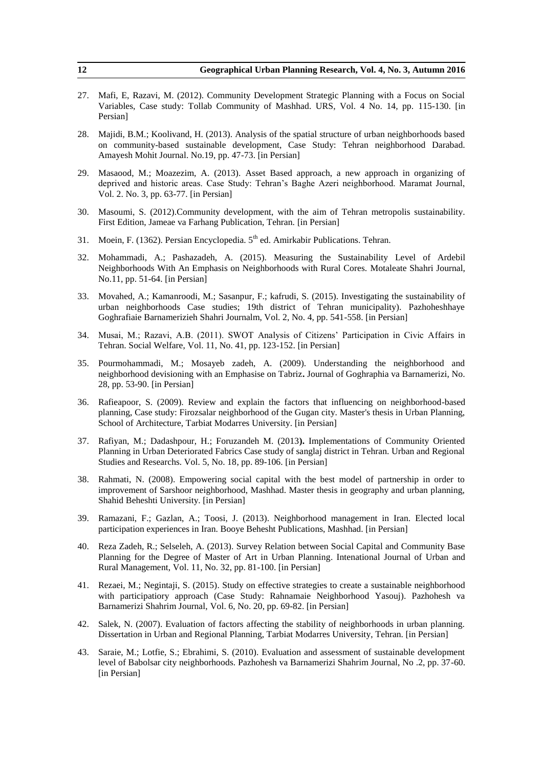| 12  | Geographical Urban Planning Research, Vol. 4, No. 3, Autumn 2016                                                                                                                                                                                                                    |
|-----|-------------------------------------------------------------------------------------------------------------------------------------------------------------------------------------------------------------------------------------------------------------------------------------|
| 27. | Mafi, E, Razavi, M. (2012). Community Development Strategic Planning with a Focus on Social<br>Variables, Case study: Tollab Community of Mashhad. URS, Vol. 4 No. 14, pp. 115-130. [in<br>Persian]                                                                                 |
| 28. | Majidi, B.M.; Koolivand, H. (2013). Analysis of the spatial structure of urban neighborhoods based<br>on community-based sustainable development, Case Study: Tehran neighborhood Darabad.<br>Amayesh Mohit Journal. No.19, pp. 47-73. [in Persian]                                 |
| 29. | Masaood, M.; Moazezim, A. (2013). Asset Based approach, a new approach in organizing of<br>deprived and historic areas. Case Study: Tehran's Baghe Azeri neighborhood. Maramat Journal,<br>Vol. 2. No. 3, pp. 63-77. [in Persian]                                                   |
| 30. | Masoumi, S. (2012). Community development, with the aim of Tehran metropolis sustainability.<br>First Edition, Jameae va Farhang Publication, Tehran. [in Persian]                                                                                                                  |
| 31. | Moein, F. (1362). Persian Encyclopedia. 5 <sup>th</sup> ed. Amirkabir Publications. Tehran.                                                                                                                                                                                         |
| 32. | Mohammadi, A.; Pashazadeh, A. (2015). Measuring the Sustainability Level of Ardebil<br>Neighborhoods With An Emphasis on Neighborhoods with Rural Cores. Motaleate Shahri Journal,<br>No.11, pp. 51-64. [in Persian]                                                                |
| 33. | Movahed, A.; Kamanroodi, M.; Sasanpur, F.; kafrudi, S. (2015). Investigating the sustainability of<br>urban neighborhoods Case studies; 19th district of Tehran municipality). Pazhoheshhaye<br>Goghrafiaie Barnamerizieh Shahri Journalm, Vol. 2, No. 4, pp. 541-558. [in Persian] |
| 34. | Musai, M.; Razavi, A.B. (2011). SWOT Analysis of Citizens' Participation in Civic Affairs in<br>Tehran. Social Welfare, Vol. 11, No. 41, pp. 123-152. [in Persian]                                                                                                                  |
| 35. | Pourmohammadi, M.; Mosayeb zadeh, A. (2009). Understanding the neighborhood and<br>neighborhood devisioning with an Emphasise on Tabriz. Journal of Goghraphia va Barnamerizi, No.<br>28, pp. 53-90. [in Persian]                                                                   |
| 36. | Rafieapoor, S. (2009). Review and explain the factors that influencing on neighborhood-based<br>planning, Case study: Firozsalar neighborhood of the Gugan city. Master's thesis in Urban Planning,<br>School of Architecture, Tarbiat Modarres University. [in Persian]            |
| 37. | Rafiyan, M.; Dadashpour, H.; Foruzandeh M. (2013). Implementations of Community Oriented<br>Planning in Urban Deteriorated Fabrics Case study of sanglaj district in Tehran. Urban and Regional<br>Studies and Researchs. Vol. 5, No. 18, pp. 89-106. [in Persian]                  |
| 38. | Rahmati, N. (2008). Empowering social capital with the best model of partnership in order to<br>improvement of Sarshoor neighborhood, Mashhad. Master thesis in geography and urban planning,<br>Shahid Beheshti University. [in Persian]                                           |
| 39. | Ramazani, F.; Gazlan, A.; Toosi, J. (2013). Neighborhood management in Iran. Elected local<br>participation experiences in Iran. Booye Behesht Publications, Mashhad. [in Persian]                                                                                                  |
| 40. | Reza Zadeh, R.; Selseleh, A. (2013). Survey Relation between Social Capital and Community Base<br>Planning for the Degree of Master of Art in Urban Planning. Intenational Journal of Urban and<br>Rural Management, Vol. 11, No. 32, pp. 81-100. [in Persian]                      |
| 41. | Rezaei, M.; Negintaji, S. (2015). Study on effective strategies to create a sustainable neighborhood<br>with participatiory approach (Case Study: Rahnamaie Neighborhood Yasouj). Pazhohesh va<br>Barnamerizi Shahrim Journal, Vol. 6, No. 20, pp. 69-82. [in Persian]              |
| 42. | Salek, N. (2007). Evaluation of factors affecting the stability of neighborhoods in urban planning.<br>Dissertation in Urban and Regional Planning, Tarbiat Modarres University, Tehran. [in Persian]                                                                               |
| 43. | Saraie, M.; Lotfie, S.; Ebrahimi, S. (2010). Evaluation and assessment of sustainable development                                                                                                                                                                                   |

level of Babolsar city neighborhoods. Pazhohesh va Barnamerizi Shahrim Journal, No .2, pp. 37-60. [in Persian]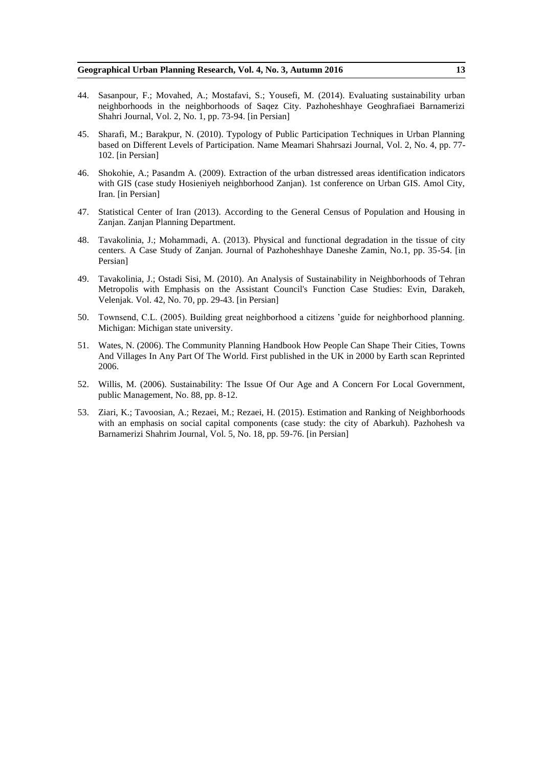- 44. Sasanpour, F.; Movahed, A.; Mostafavi, S.; Yousefi, M. (2014). Evaluating sustainability urban neighborhoods in the neighborhoods of Saqez City. Pazhoheshhaye Geoghrafiaei Barnamerizi Shahri Journal, Vol. 2, No. 1, pp. 73-94. [in Persian]
- 45. Sharafi, M.; Barakpur, N. (2010). Typology of Public Participation Techniques in Urban Planning based on Different Levels of Participation. Name Meamari Shahrsazi Journal, Vol. 2, No. 4, pp. 77- 102. [in Persian]
- 46. Shokohie, A.; Pasandm A. (2009). Extraction of the urban distressed areas identification indicators with GIS (case study Hosieniyeh neighborhood Zanjan). 1st conference on Urban GIS. Amol City, Iran. [in Persian]
- 47. Statistical Center of Iran (2013). According to the General Census of Population and Housing in Zanjan. Zanjan Planning Department.
- 48. Tavakolinia, J.; Mohammadi, A. (2013). Physical and functional degradation in the tissue of city centers. A Case Study of Zanjan. Journal of Pazhoheshhaye Daneshe Zamin, No.1, pp. 35-54. [in Persian]
- 49. Tavakolinia, J.; Ostadi Sisi, M. (2010). An Analysis of Sustainability in Neighborhoods of Tehran Metropolis with Emphasis on the Assistant Council's Function Case Studies: Evin, Darakeh, Velenjak. Vol. 42, No. 70, pp. 29-43. [in Persian]
- 50. Townsend, C.L. (2005). Building great neighborhood a citizens 'guide for neighborhood planning. Michigan: Michigan state university.
- 51. Wates, N. (2006). The Community Planning Handbook How People Can Shape Their Cities, Towns And Villages In Any Part Of The World. First published in the UK in 2000 by Earth scan Reprinted 2006.
- 52. Willis, M. (2006). Sustainability: The Issue Of Our Age and A Concern For Local Government, public Management, No. 88, pp. 8-12.
- 53. Ziari, K.; Tavoosian, A.; Rezaei, M.; Rezaei, H. (2015). Estimation and Ranking of Neighborhoods with an emphasis on social capital components (case study: the city of Abarkuh). Pazhohesh va Barnamerizi Shahrim Journal, Vol. 5, No. 18, pp. 59-76. [in Persian]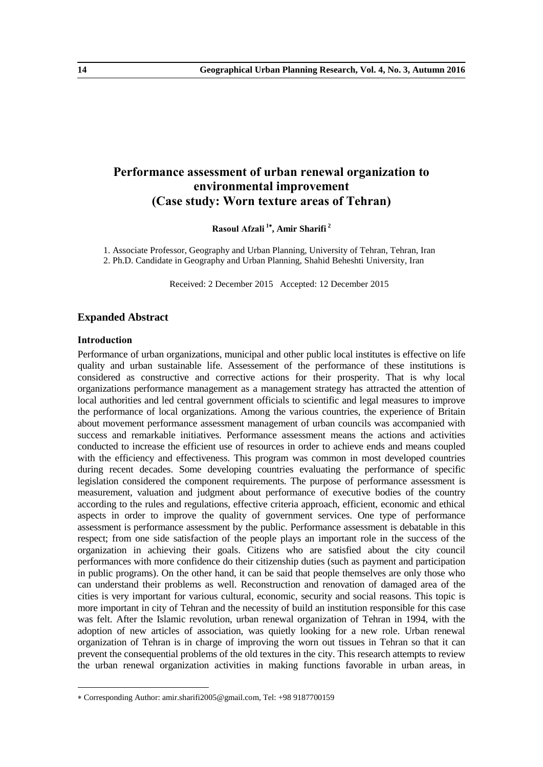# **Performance assessment of urban renewal organization to environmental improvement (Case study: Worn texture areas of Tehran)**

**Rasoul Afzali <sup>1</sup> , Amir Sharifi <sup>2</sup>**

1. Associate Professor, Geography and Urban Planning, University of Tehran, Tehran, Iran 2. Ph.D. Candidate in Geography and Urban Planning, Shahid Beheshti University, Iran

Received: 2 December 2015 Accepted: 12 December 2015

## **Expanded Abstract**

## **Introduction**

-

Performance of urban organizations, municipal and other public local institutes is effective on life quality and urban sustainable life. Assessement of the performance of these institutions is considered as constructive and corrective actions for their prosperity. That is why local organizations performance management as a management strategy has attracted the attention of local authorities and led central government officials to scientific and legal measures to improve the performance of local organizations. Among the various countries, the experience of Britain about movement performance assessment management of urban councils was accompanied with success and remarkable initiatives. Performance assessment means the actions and activities conducted to increase the efficient use of resources in order to achieve ends and means coupled with the efficiency and effectiveness. This program was common in most developed countries during recent decades. Some developing countries evaluating the performance of specific legislation considered the component requirements. The purpose of performance assessment is measurement, valuation and judgment about performance of executive bodies of the country according to the rules and regulations, effective criteria approach, efficient, economic and ethical aspects in order to improve the quality of government services. One type of performance assessment is performance assessment by the public. Performance assessment is debatable in this respect; from one side satisfaction of the people plays an important role in the success of the organization in achieving their goals. Citizens who are satisfied about the city council performances with more confidence do their citizenship duties (such as payment and participation in public programs). On the other hand, it can be said that people themselves are only those who can understand their problems as well. Reconstruction and renovation of damaged area of the cities is very important for various cultural, economic, security and social reasons. This topic is more important in city of Tehran and the necessity of build an institution responsible for this case was felt. After the Islamic revolution, urban renewal organization of Tehran in 1994, with the adoption of new articles of association, was quietly looking for a new role. Urban renewal organization of Tehran is in charge of improving the worn out tissues in Tehran so that it can prevent the consequential problems of the old textures in the city. This research attempts to review the urban renewal organization activities in making functions favorable in urban areas, in

Corresponding Author: amir.sharifi2005@gmail.com, Tel: +98 9187700159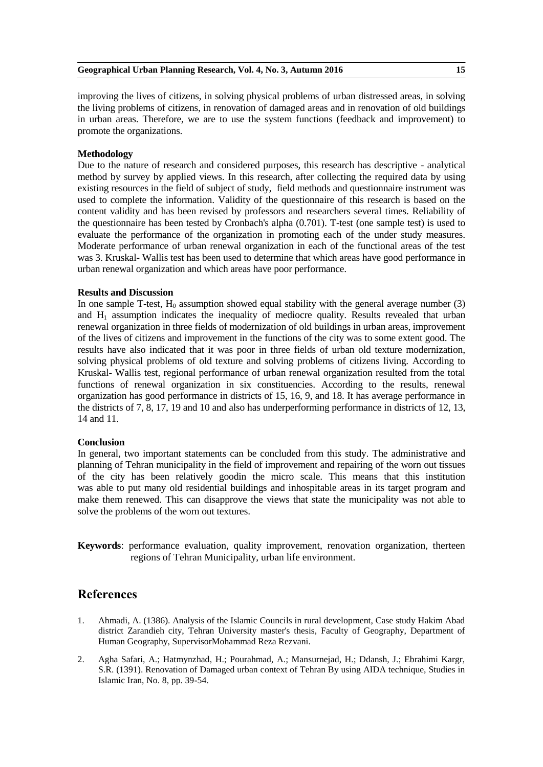improving the lives of citizens, in solving physical problems of urban distressed areas, in solving the living problems of citizens, in renovation of damaged areas and in renovation of old buildings in urban areas. Therefore, we are to use the system functions (feedback and improvement) to promote the organizations.

## **Methodology**

Due to the nature of research and considered purposes, this research has descriptive - analytical method by survey by applied views. In this research, after collecting the required data by using existing resources in the field of subject of study, field methods and questionnaire instrument was used to complete the information. Validity of the questionnaire of this research is based on the content validity and has been revised by professors and researchers several times. Reliability of the questionnaire has been tested by Cronbach's alpha (0.701). T-test (one sample test) is used to evaluate the performance of the organization in promoting each of the under study measures. Moderate performance of urban renewal organization in each of the functional areas of the test was 3. Kruskal- Wallis test has been used to determine that which areas have good performance in urban renewal organization and which areas have poor performance.

## **Results and Discussion**

In one sample T-test,  $H_0$  assumption showed equal stability with the general average number (3) and  $H_1$  assumption indicates the inequality of mediocre quality. Results revealed that urban renewal organization in three fields of modernization of old buildings in urban areas, improvement of the lives of citizens and improvement in the functions of the city was to some extent good. The results have also indicated that it was poor in three fields of urban old texture modernization, solving physical problems of old texture and solving problems of citizens living. According to Kruskal- Wallis test, regional performance of urban renewal organization resulted from the total functions of renewal organization in six constituencies. According to the results, renewal organization has good performance in districts of 15, 16, 9, and 18. It has average performance in the districts of 7, 8, 17, 19 and 10 and also has underperforming performance in districts of 12, 13, 14 and 11.

## **Conclusion**

In general, two important statements can be concluded from this study. The administrative and planning of Tehran municipality in the field of improvement and repairing of the worn out tissues of the city has been relatively goodin the micro scale. This means that this institution was able to put many old residential buildings and inhospitable areas in its target program and make them renewed. This can disapprove the views that state the municipality was not able to solve the problems of the worn out textures.

**Keywords**: performance evaluation, quality improvement, renovation organization, therteen regions of Tehran Municipality, urban life environment.

- 1. Ahmadi, A. (1386). Analysis of the Islamic Councils in rural development, Case study Hakim Abad district Zarandieh city, Tehran University master's thesis, Faculty of Geography, Department of Human Geography, SupervisorMohammad Reza Rezvani.
- 2. Agha Safari, A.; Hatmynzhad, H.; Pourahmad, A.; Mansurnejad, H.; Ddansh, J.; Ebrahimi Kargr, S.R. (1391). Renovation of Damaged urban context of Tehran By using AIDA technique, Studies in Islamic Iran, No. 8, pp. 39-54.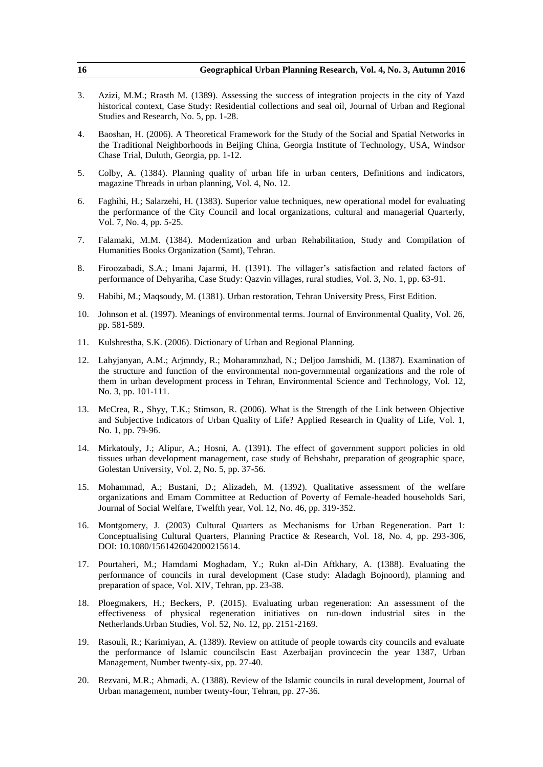| 16  | Geographical Urban Planning Research, Vol. 4, No. 3, Autumn 2016                                                                                                                                                                                                                                                    |
|-----|---------------------------------------------------------------------------------------------------------------------------------------------------------------------------------------------------------------------------------------------------------------------------------------------------------------------|
| 3.  | Azizi, M.M.; Rrasth M. (1389). Assessing the success of integration projects in the city of Yazd<br>historical context, Case Study: Residential collections and seal oil, Journal of Urban and Regional<br>Studies and Research, No. 5, pp. 1-28.                                                                   |
| 4.  | Baoshan, H. (2006). A Theoretical Framework for the Study of the Social and Spatial Networks in<br>the Traditional Neighborhoods in Beijing China, Georgia Institute of Technology, USA, Windsor<br>Chase Trial, Duluth, Georgia, pp. 1-12.                                                                         |
| 5.  | Colby, A. (1384). Planning quality of urban life in urban centers, Definitions and indicators,<br>magazine Threads in urban planning, Vol. 4, No. 12.                                                                                                                                                               |
| 6.  | Faghihi, H.; Salarzehi, H. (1383). Superior value techniques, new operational model for evaluating<br>the performance of the City Council and local organizations, cultural and managerial Quarterly,<br>Vol. 7, No. 4, pp. 5-25.                                                                                   |
| 7.  | Falamaki, M.M. (1384). Modernization and urban Rehabilitation, Study and Compilation of<br>Humanities Books Organization (Samt), Tehran.                                                                                                                                                                            |
| 8.  | Firoozabadi, S.A.; Imani Jajarmi, H. (1391). The villager's satisfaction and related factors of<br>performance of Dehyariha, Case Study: Qazvin villages, rural studies, Vol. 3, No. 1, pp. 63-91.                                                                                                                  |
| 9.  | Habibi, M.; Maqsoudy, M. (1381). Urban restoration, Tehran University Press, First Edition.                                                                                                                                                                                                                         |
| 10. | Johnson et al. (1997). Meanings of environmental terms. Journal of Environmental Quality, Vol. 26,<br>pp. 581-589.                                                                                                                                                                                                  |
| 11. | Kulshrestha, S.K. (2006). Dictionary of Urban and Regional Planning.                                                                                                                                                                                                                                                |
| 12. | Lahyjanyan, A.M.; Arjmndy, R.; Moharamnzhad, N.; Deljoo Jamshidi, M. (1387). Examination of<br>the structure and function of the environmental non-governmental organizations and the role of<br>them in urban development process in Tehran, Environmental Science and Technology, Vol. 12,<br>No. 3, pp. 101-111. |
| 13. | McCrea, R., Shyy, T.K.; Stimson, R. (2006). What is the Strength of the Link between Objective<br>and Subjective Indicators of Urban Quality of Life? Applied Research in Quality of Life, Vol. 1,<br>No. 1, pp. 79-96.                                                                                             |
| 14. | Mirkatouly, J.; Alipur, A.; Hosni, A. (1391). The effect of government support policies in old<br>tissues urban development management, case study of Behshahr, preparation of geographic space,<br>Golestan University, Vol. 2, No. 5, pp. 37-56.                                                                  |
| 15. | Mohammad, A.; Bustani, D.; Alizadeh, M. (1392). Qualitative assessment of the welfare<br>organizations and Emam Committee at Reduction of Poverty of Female-headed households Sari,<br>Journal of Social Welfare, Twelfth year, Vol. 12, No. 46, pp. 319-352.                                                       |
| 16. | Montgomery, J. (2003) Cultural Quarters as Mechanisms for Urban Regeneration. Part 1:<br>Conceptualising Cultural Quarters, Planning Practice & Research, Vol. 18, No. 4, pp. 293-306,<br>DOI: 10.1080/1561426042000215614.                                                                                         |
| 17. | Pourtaheri, M.; Hamdami Moghadam, Y.; Rukn al-Din Aftkhary, A. (1388). Evaluating the<br>performance of councils in rural development (Case study: Aladagh Bojnoord), planning and<br>preparation of space, Vol. XIV, Tehran, pp. 23-38.                                                                            |
| 18. | Ploegmakers, H.; Beckers, P. (2015). Evaluating urban regeneration: An assessment of the<br>effectiveness of physical regeneration initiatives on run-down industrial sites in the<br>Netherlands. Urban Studies, Vol. 52, No. 12, pp. 2151-2169.                                                                   |
| 19. | Rasouli, R.; Karimiyan, A. (1389). Review on attitude of people towards city councils and evaluate<br>the performance of Islamic councilscin East Azerbaijan provincecin the year 1387, Urban<br>Management, Number twenty-six, pp. 27-40.                                                                          |
| 20. | Rezvani, M.R.; Ahmadi, A. (1388). Review of the Islamic councils in rural development, Journal of<br>Urban management, number twenty-four, Tehran, pp. 27-36.                                                                                                                                                       |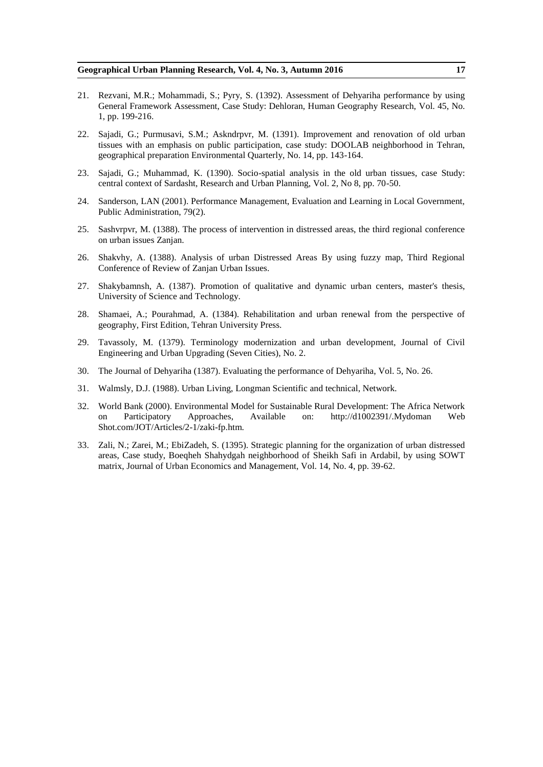- 21. Rezvani, M.R.; Mohammadi, S.; Pyry, S. (1392). Assessment of Dehyariha performance by using General Framework Assessment, Case Study: Dehloran, Human Geography Research, Vol. 45, No. 1, pp. 199-216.
- 22. Sajadi, G.; Purmusavi, S.M.; Askndrpvr, M. (1391). Improvement and renovation of old urban tissues with an emphasis on public participation, case study: DOOLAB neighborhood in Tehran, geographical preparation Environmental Quarterly, No. 14, pp. 143-164.
- 23. Sajadi, G.; Muhammad, K. (1390). Socio-spatial analysis in the old urban tissues, case Study: central context of Sardasht, Research and Urban Planning, Vol. 2, No 8, pp. 70-50.
- 24. Sanderson, LAN (2001). Performance Management, Evaluation and Learning in Local Government, Public Administration, 79(2).
- 25. Sashvrpvr, M. (1388). The process of intervention in distressed areas, the third regional conference on urban issues Zanjan.
- 26. Shakvhy, A. (1388). Analysis of urban Distressed Areas By using fuzzy map, Third Regional Conference of Review of Zanjan Urban Issues.
- 27. Shakybamnsh, A. (1387). Promotion of qualitative and dynamic urban centers, master's thesis, University of Science and Technology.
- 28. Shamaei, A.; Pourahmad, A. (1384). Rehabilitation and urban renewal from the perspective of geography, First Edition, Tehran University Press.
- 29. Tavassoly, M. (1379). Terminology modernization and urban development, Journal of Civil Engineering and Urban Upgrading (Seven Cities), No. 2.
- 30. The Journal of Dehyariha (1387). Evaluating the performance of Dehyariha, Vol. 5, No. 26.
- 31. Walmsly, D.J. (1988). Urban Living, Longman Scientific and technical, Network.
- 32. World Bank (2000). Environmental Model for Sustainable Rural Development: The Africa Network on Participatory Approaches, Available on: http://d1002391/.Mydoman Web Shot.com/JOT/Articles/2-1/zaki-fp.htm.
- 33. Zali, N.; Zarei, M.; EbiZadeh, S. (1395). Strategic planning for the organization of urban distressed areas, Case study, Boeqheh Shahydgah neighborhood of Sheikh Safi in Ardabil, by using SOWT matrix, Journal of Urban Economics and Management, Vol. 14, No. 4, pp. 39-62.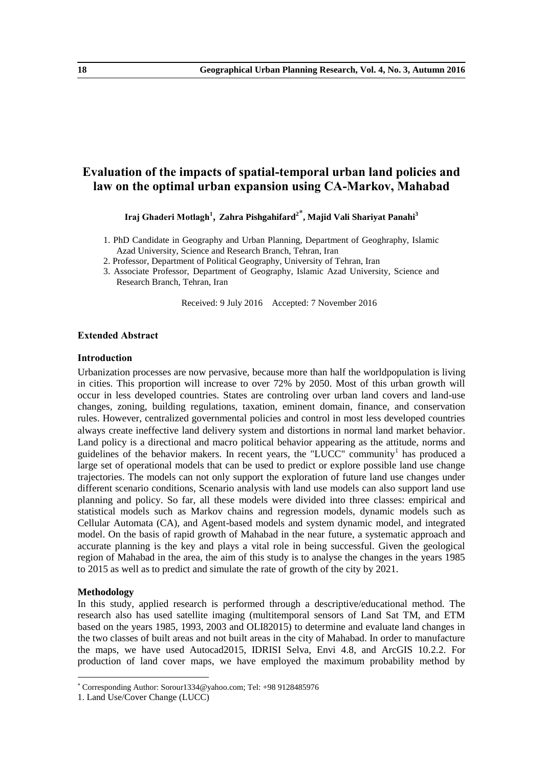## **Evaluation of the impacts of spatial-temporal urban land policies and law on the optimal urban expansion using CA-Markov, Mahabad**

**Iraj Ghaderi Motlagh<sup>1</sup>** , **Zahra Pishgahifard<sup>2</sup> , Majid Vali Shariyat Panahi<sup>3</sup>**

- 1. PhD Candidate in Geography and Urban Planning, Department of Geoghraphy, Islamic Azad University, Science and Research Branch, Tehran, Iran
- 2. Professor, Department of Political Geography, University of Tehran, Iran
- 3. Associate Professor, Department of Geography, Islamic Azad University, Science and Research Branch, Tehran, Iran

Received: 9 July 2016 Accepted: 7 November 2016

## **Extended Abstract**

## **Introduction**

Urbanization processes are now pervasive, because more than half the worldpopulation is living in cities. This proportion will increase to over 72% by 2050. Most of this urban growth will occur in less developed countries. States are controling over urban land covers and land-use changes, zoning, building regulations, taxation, eminent domain, finance, and conservation rules. However, centralized governmental policies and control in most less developed countries always create ineffective land delivery system and distortions in normal land market behavior. Land policy is a directional and macro political behavior appearing as the attitude, norms and guidelines of the behavior makers. In recent years, the "LUCC" community<sup>1</sup> has produced a large set of operational models that can be used to predict or explore possible land use change trajectories. The models can not only support the exploration of future land use changes under different scenario conditions, Scenario analysis with land use models can also support land use planning and policy. So far, all these models were divided into three classes: empirical and statistical models such as Markov chains and regression models, dynamic models such as Cellular Automata (CA), and Agent-based models and system dynamic model, and integrated model. On the basis of rapid growth of Mahabad in the near future, a systematic approach and accurate planning is the key and plays a vital role in being successful. Given the geological region of Mahabad in the area, the aim of this study is to analyse the changes in the years 1985 to 2015 as well as to predict and simulate the rate of growth of the city by 2021.

## **Methodology**

1

In this study, applied research is performed through a descriptive/educational method. The research also has used satellite imaging (multitemporal sensors of Land Sat TM, and ETM based on the years 1985, 1993, 2003 and OLI82015) to determine and evaluate land changes in the two classes of built areas and not built areas in the city of Mahabad. In order to manufacture the maps, we have used Autocad2015, IDRISI Selva, Envi 4.8, and ArcGIS 10.2.2. For production of land cover maps, we have employed the maximum probability method by

Corresponding Author: Sorour1334@yahoo.com; Tel: +98 9128485976

<sup>1.</sup> Land Use/Cover Change (LUCC)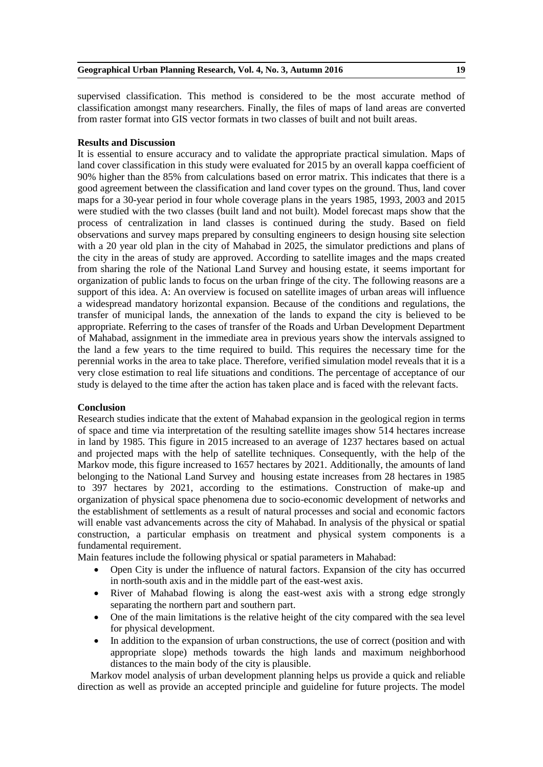supervised classification. This method is considered to be the most accurate method of classification amongst many researchers. Finally, the files of maps of land areas are converted from raster format into GIS vector formats in two classes of built and not built areas.

## **Results and Discussion**

It is essential to ensure accuracy and to validate the appropriate practical simulation. Maps of land cover classification in this study were evaluated for 2015 by an overall kappa coefficient of 90% higher than the 85% from calculations based on error matrix. This indicates that there is a good agreement between the classification and land cover types on the ground. Thus, land cover maps for a 30-year period in four whole coverage plans in the years 1985, 1993, 2003 and 2015 were studied with the two classes (built land and not built). Model forecast maps show that the process of centralization in land classes is continued during the study. Based on field observations and survey maps prepared by consulting engineers to design housing site selection with a 20 year old plan in the city of Mahabad in 2025, the simulator predictions and plans of the city in the areas of study are approved. According to satellite images and the maps created from sharing the role of the National Land Survey and housing estate, it seems important for organization of public lands to focus on the urban fringe of the city. The following reasons are a support of this idea. A: An overview is focused on satellite images of urban areas will influence a widespread mandatory horizontal expansion. Because of the conditions and regulations, the transfer of municipal lands, the annexation of the lands to expand the city is believed to be appropriate. Referring to the cases of transfer of the Roads and Urban Development Department of Mahabad, assignment in the immediate area in previous years show the intervals assigned to the land a few years to the time required to build. This requires the necessary time for the perennial works in the area to take place. Therefore, verified simulation model reveals that it is a very close estimation to real life situations and conditions. The percentage of acceptance of our study is delayed to the time after the action has taken place and is faced with the relevant facts.

## **Conclusion**

Research studies indicate that the extent of Mahabad expansion in the geological region in terms of space and time via interpretation of the resulting satellite images show 514 hectares increase in land by 1985. This figure in 2015 increased to an average of 1237 hectares based on actual and projected maps with the help of satellite techniques. Consequently, with the help of the Markov mode, this figure increased to 1657 hectares by 2021. Additionally, the amounts of land belonging to the National Land Survey and housing estate increases from 28 hectares in 1985 to 397 hectares by 2021, according to the estimations. Construction of make-up and organization of physical space phenomena due to socio-economic development of networks and the establishment of settlements as a result of natural processes and social and economic factors will enable vast advancements across the city of Mahabad. In analysis of the physical or spatial construction, a particular emphasis on treatment and physical system components is a fundamental requirement.

Main features include the following physical or spatial parameters in Mahabad:

- Open City is under the influence of natural factors. Expansion of the city has occurred in north-south axis and in the middle part of the east-west axis.
- River of Mahabad flowing is along the east-west axis with a strong edge strongly separating the northern part and southern part.
- One of the main limitations is the relative height of the city compared with the sea level for physical development.
- In addition to the expansion of urban constructions, the use of correct (position and with appropriate slope) methods towards the high lands and maximum neighborhood distances to the main body of the city is plausible.

Markov model analysis of urban development planning helps us provide a quick and reliable direction as well as provide an accepted principle and guideline for future projects. The model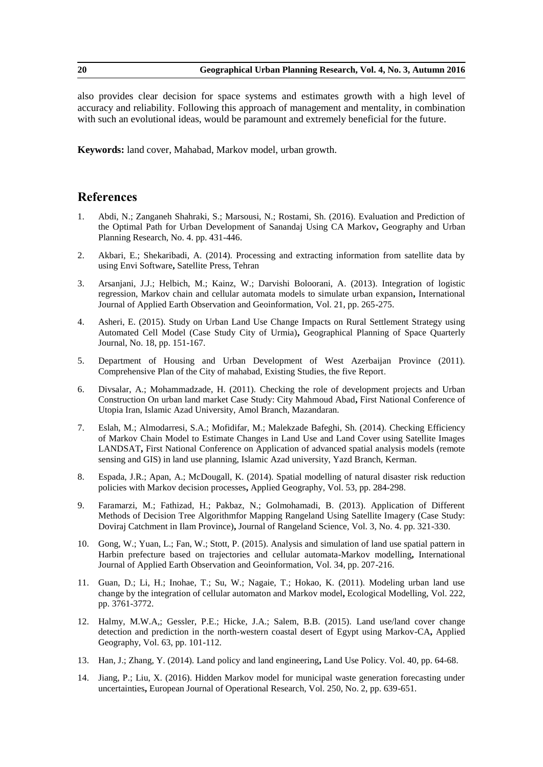also provides clear decision for space systems and estimates growth with a high level of accuracy and reliability. Following this approach of management and mentality, in combination with such an evolutional ideas, would be paramount and extremely beneficial for the future.

**Keywords:** land cover, Mahabad, Markov model, urban growth.

- 1. Abdi, N.; Zanganeh Shahraki, S.; Marsousi, N.; Rostami, Sh. (2016). Evaluation and Prediction of the Optimal Path for Urban Development of Sanandaj Using CA Markov**,** Geography and Urban Planning Research, No. 4. pp. 431-446.
- 2. Akbari, E.; Shekaribadi, A. (2014). Processing and extracting information from satellite data by using Envi Software**,** Satellite Press, Tehran
- 3. Arsanjani, J.J.; Helbich, M.; Kainz, W.; Darvishi Boloorani, A. (2013). Integration of logistic regression, Markov chain and cellular automata models to simulate urban expansion**,** International Journal of Applied Earth Observation and Geoinformation, Vol. 21, pp. 265-275.
- 4. Asheri, E. (2015). Study on Urban Land Use Change Impacts on Rural Settlement Strategy using Automated Cell Model (Case Study City of Urmia)**,** Geographical Planning of Space Quarterly Journal, No. 18, pp. 151-167.
- 5. Department of Housing and Urban Development of West Azerbaijan Province (2011). Comprehensive Plan of the City of mahabad, Existing Studies, the five Report.
- 6. Divsalar, A.; Mohammadzade, H. (2011). Checking the role of development projects and Urban Construction On urban land market Case Study: City Mahmoud Abad**,** First National Conference of Utopia Iran, Islamic Azad University, Amol Branch, Mazandaran.
- 7. Eslah, M.; Almodarresi, S.A.; Mofidifar, M.; Malekzade Bafeghi, Sh. (2014). Checking Efficiency of Markov Chain Model to Estimate Changes in Land Use and Land Cover using Satellite Images LANDSAT**,** First National Conference on Application of advanced spatial analysis models (remote sensing and GIS) in land use planning, Islamic Azad university, Yazd Branch, Kerman.
- 8. Espada, J.R.; Apan, A.; McDougall, K. (2014). Spatial modelling of natural disaster risk reduction policies with Markov decision processes**,** Applied Geography, Vol. 53, pp. 284-298.
- 9. Faramarzi, M.; Fathizad, H.; Pakbaz, N.; Golmohamadi, B. (2013). Application of Different Methods of Decision Tree Algorithmfor Mapping Rangeland Using Satellite Imagery (Case Study: Doviraj Catchment in Ilam Province)**,** Journal of Rangeland Science, Vol. 3, No. 4. pp. 321-330.
- 10. Gong, W.; Yuan, L.; Fan, W.; Stott, P. (2015). Analysis and simulation of land use spatial pattern in Harbin prefecture based on trajectories and cellular automata-Markov modelling**,** International Journal of Applied Earth Observation and Geoinformation, Vol. 34, pp. 207-216.
- 11. Guan, D.; Li, H.; Inohae, T.; Su, W.; Nagaie, T.; Hokao, K. (2011). Modeling urban land use change by the integration of cellular automaton and Markov model**,** Ecological Modelling, Vol. 222, pp. 3761-3772.
- 12. Halmy, M.W.A,; Gessler, P.E.; Hicke, J.A.; Salem, B.B. (2015). Land use/land cover change detection and prediction in the north-western coastal desert of Egypt using Markov-CA**,** Applied Geography, Vol. 63, pp. 101-112.
- 13. Han, J.; Zhang, Y. (2014). Land policy and land engineering**,** Land Use Policy. Vol. 40, pp. 64-68.
- 14. Jiang, P.; Liu, X. (2016). Hidden Markov model for municipal waste generation forecasting under uncertainties**,** European Journal of Operational Research, Vol. 250, No. 2, pp. 639-651.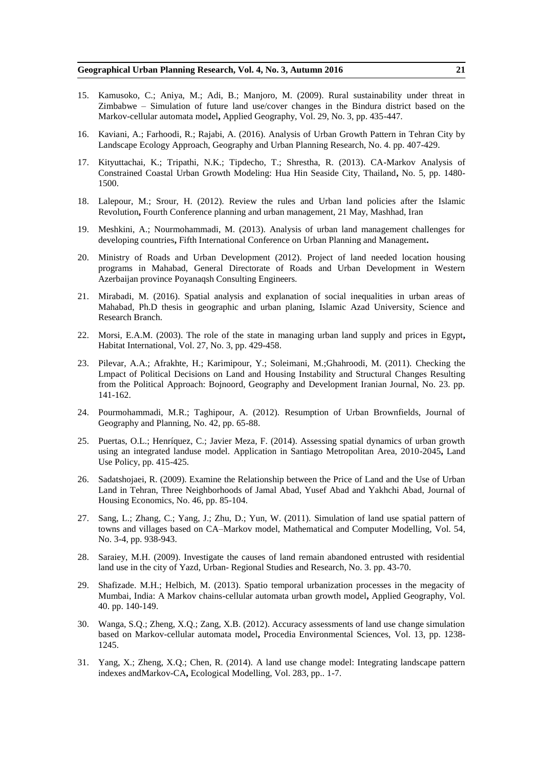- 15. Kamusoko, C.; Aniya, M.; Adi, B.; Manjoro, M. (2009). Rural sustainability under threat in Zimbabwe – Simulation of future land use/cover changes in the Bindura district based on the Markov-cellular automata model**,** Applied Geography, Vol. 29, No. 3, pp. 435-447.
- 16. Kaviani, A.; Farhoodi, R.; Rajabi, A. (2016). Analysis of Urban Growth Pattern in Tehran City by Landscape Ecology Approach, Geography and Urban Planning Research, No. 4. pp. 407-429.
- 17. Kityuttachai, K.; Tripathi, N.K.; Tipdecho, T.; Shrestha, R. (2013). CA-Markov Analysis of Constrained Coastal Urban Growth Modeling: Hua Hin Seaside City, Thailand**,** No. 5, pp. 1480- 1500.
- 18. Lalepour, M.; Srour, H. (2012). Review the rules and Urban land policies after the Islamic Revolution**,** Fourth Conference planning and urban management, 21 May, Mashhad, Iran
- 19. Meshkini, A.; Nourmohammadi, M. (2013). Analysis of urban land management challenges for developing countries**,** Fifth International Conference on Urban Planning and Management**.**
- 20. Ministry of Roads and Urban Development (2012). Project of land needed location housing programs in Mahabad, General Directorate of Roads and Urban Development in Western Azerbaijan province Poyanaqsh Consulting Engineers.
- 21. Mirabadi, M. (2016). Spatial analysis and explanation of social inequalities in urban areas of Mahabad, Ph.D thesis in geographic and urban planing, Islamic Azad University, Science and Research Branch.
- 22. Morsi, E.A.M. (2003). The role of the state in managing urban land supply and prices in Egypt**,**  Habitat International, Vol. 27, No. 3, pp. 429-458.
- 23. Pilevar, A.A.; Afrakhte, H.; Karimipour, Y.; Soleimani, M.;Ghahroodi, M. (2011). Checking the Lmpact of Political Decisions on Land and Housing Instability and Structural Changes Resulting from the Political Approach: Bojnoord, Geography and Development Iranian Journal, No. 23. pp. 141-162.
- 24. Pourmohammadi, M.R.; Taghipour, A. (2012). Resumption of Urban Brownfields, Journal of Geography and Planning, No. 42, pp. 65-88.
- 25. Puertas, O.L.; Henríquez, C.; Javier Meza, F. (2014). Assessing spatial dynamics of urban growth using an integrated landuse model. Application in Santiago Metropolitan Area, 2010-2045**,** Land Use Policy, pp. 415-425.
- 26. Sadatshojaei, R. (2009). Examine the Relationship between the Price of Land and the Use of Urban Land in Tehran, Three Neighborhoods of Jamal Abad, Yusef Abad and Yakhchi Abad, Journal of Housing Economics, No. 46, pp. 85-104.
- 27. Sang, L.; Zhang, C.; Yang, J.; Zhu, D.; Yun, W. (2011). Simulation of land use spatial pattern of towns and villages based on CA–Markov model, Mathematical and Computer Modelling, Vol. 54, No. 3-4, pp. 938-943.
- 28. Saraiey, M.H. (2009). Investigate the causes of land remain abandoned entrusted with residential land use in the city of Yazd, Urban- Regional Studies and Research, No. 3. pp. 43-70.
- 29. Shafizade. M.H.; Helbich, M. (2013). Spatio temporal urbanization processes in the megacity of Mumbai, India: A Markov chains-cellular automata urban growth model**,** Applied Geography, Vol. 40. pp. 140-149.
- 30. Wanga, S.Q.; Zheng, X.Q.; Zang, X.B. (2012). Accuracy assessments of land use change simulation based on Markov-cellular automata model**,** Procedia Environmental Sciences, Vol. 13, pp. 1238- 1245.
- 31. Yang, X.; Zheng, X.Q.; Chen, R. (2014). A land use change model: Integrating landscape pattern indexes andMarkov-CA**,** Ecological Modelling, Vol. 283, pp.. 1-7.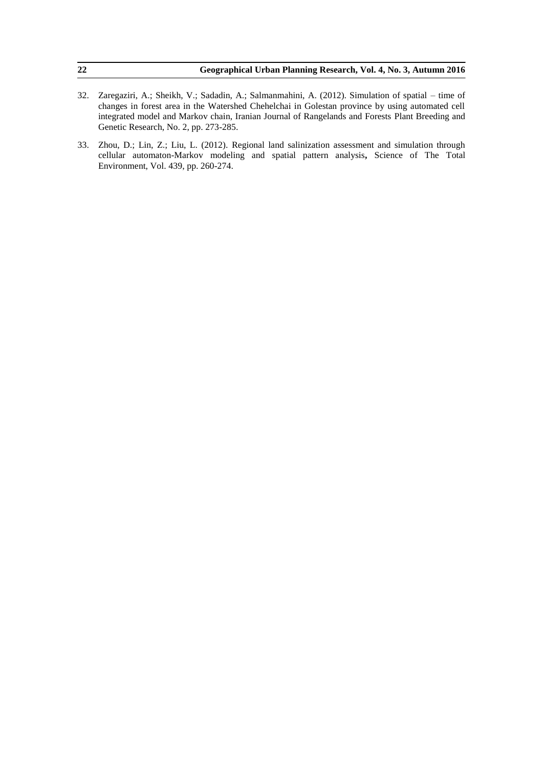| 22 | Geographical Urban Planning Research, Vol. 4, No. 3, Autumn 2016                                      |
|----|-------------------------------------------------------------------------------------------------------|
|    |                                                                                                       |
|    | 32. Zaregaziri, A.; Sheikh, V.; Sadadin, A.; Salmanmahini, A. (2012). Simulation of spatial – time of |

- changes in forest area in the Watershed Chehelchai in Golestan province by using automated cell integrated model and Markov chain, Iranian Journal of Rangelands and Forests Plant Breeding and Genetic Research, No. 2, pp. 273-285.
- 33. Zhou, D.; Lin, Z.; Liu, L. (2012). Regional land salinization assessment and simulation through cellular automaton-Markov modeling and spatial pattern analysis**,** Science of The Total Environment, Vol. 439, pp. 260-274.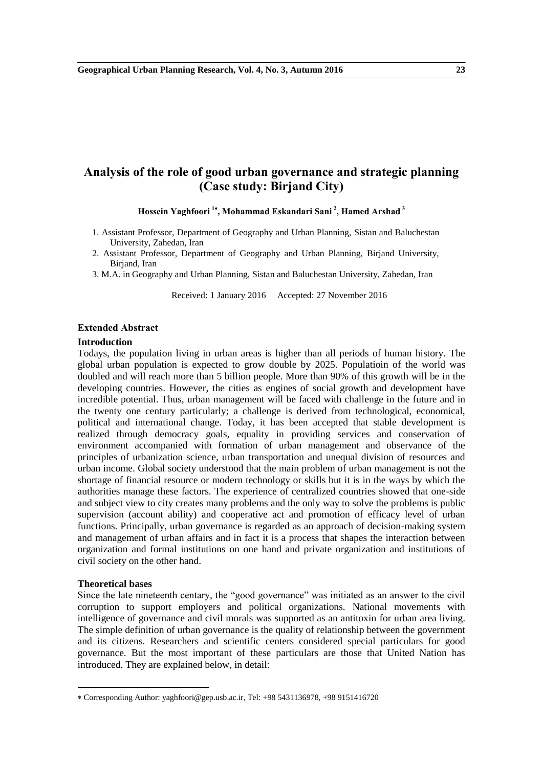## **Analysis of the role of good urban governance and strategic planning (Case study: Birjand City)**

**Hossein Yaghfoori <sup>1</sup> , Mohammad Eskandari Sani <sup>2</sup> , Hamed Arshad <sup>3</sup>**

- 1. Assistant Professor, Department of Geography and Urban Planning, Sistan and Baluchestan University, Zahedan, Iran
- 2. Assistant Professor, Department of Geography and Urban Planning, Birjand University, Birjand, Iran
- 3. M.A. in Geography and Urban Planning, Sistan and Baluchestan University, Zahedan, Iran

Received: 1 January 2016 Accepted: 27 November 2016

#### **Extended Abstract**

#### **Introduction**

Todays, the population living in urban areas is higher than all periods of human history. The global urban population is expected to grow double by 2025. Populatioin of the world was doubled and will reach more than 5 billion people. More than 90% of this growth will be in the developing countries. However, the cities as engines of social growth and development have incredible potential. Thus, urban management will be faced with challenge in the future and in the twenty one century particularly; a challenge is derived from technological, economical, political and international change. Today, it has been accepted that stable development is realized through democracy goals, equality in providing services and conservation of environment accompanied with formation of urban management and observance of the principles of urbanization science, urban transportation and unequal division of resources and urban income. Global society understood that the main problem of urban management is not the shortage of financial resource or modern technology or skills but it is in the ways by which the authorities manage these factors. The experience of centralized countries showed that one-side and subject view to city creates many problems and the only way to solve the problems is public supervision (account ability) and cooperative act and promotion of efficacy level of urban functions. Principally, urban governance is regarded as an approach of decision-making system and management of urban affairs and in fact it is a process that shapes the interaction between organization and formal institutions on one hand and private organization and institutions of civil society on the other hand.

## **Theoretical bases**

-

Since the late nineteenth centary, the "good governance" was initiated as an answer to the civil corruption to support employers and political organizations. National movements with intelligence of governance and civil morals was supported as an antitoxin for urban area living. The simple definition of urban governance is the quality of relationship between the government and its citizens. Researchers and scientific centers considered special particulars for good governance. But the most important of these particulars are those that United Nation has introduced. They are explained below, in detail:

Corresponding Author: yaghfoori@gep.usb.ac.ir, Tel: +98 5431136978, +98 9151416720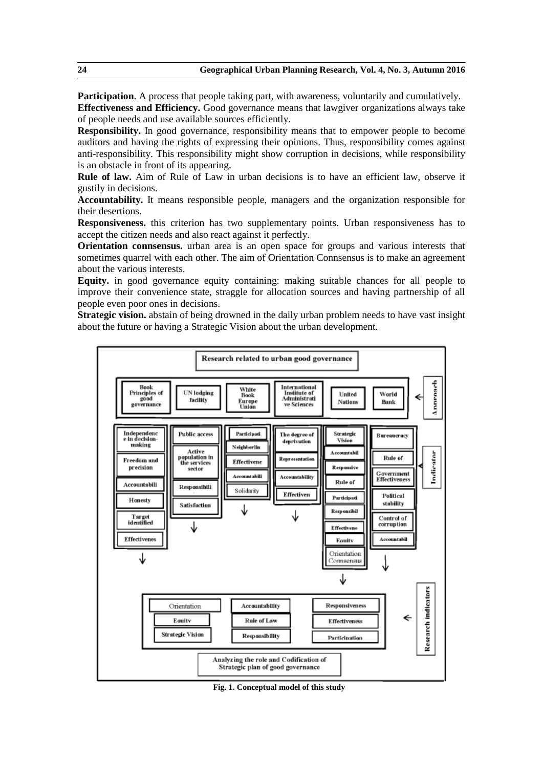**Participation**. A process that people taking part, with awareness, voluntarily and cumulatively. **Effectiveness and Efficiency.** Good governance means that lawgiver organizations always take of people needs and use available sources efficiently.

**Responsibility.** In good governance, responsibility means that to empower people to become auditors and having the rights of expressing their opinions. Thus, responsibility comes against anti-responsibility. This responsibility might show corruption in decisions, while responsibility is an obstacle in front of its appearing.

**Rule of law.** Aim of Rule of Law in urban decisions is to have an efficient law, observe it gustily in decisions.

**Accountability.** It means responsible people, managers and the organization responsible for their desertions.

**Responsiveness.** this criterion has two supplementary points. Urban responsiveness has to accept the citizen needs and also react against it perfectly.

**Orientation connsensus.** urban area is an open space for groups and various interests that sometimes quarrel with each other. The aim of Orientation Connsensus is to make an agreement about the various interests.

**Equity.** in good governance equity containing: making suitable chances for all people to improve their convenience state, straggle for allocation sources and having partnership of all people even poor ones in decisions.

**Strategic vision.** abstain of being drowned in the daily urban problem needs to have vast insight about the future or having a Strategic Vision about the urban development.



**Fig. 1. Conceptual model of this study**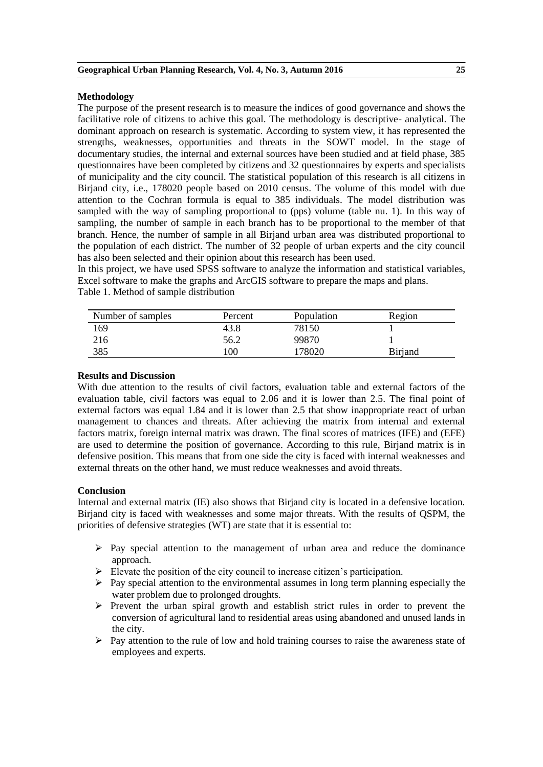## **Methodology**

The purpose of the present research is to measure the indices of good governance and shows the facilitative role of citizens to achive this goal. The methodology is descriptive- analytical. The dominant approach on research is systematic. According to system view, it has represented the strengths, weaknesses, opportunities and threats in the SOWT model. In the stage of documentary studies, the internal and external sources have been studied and at field phase, 385 questionnaires have been completed by citizens and 32 questionnaires by experts and specialists of municipality and the city council. The statistical population of this research is all citizens in Birjand city, i.e., 178020 people based on 2010 census. The volume of this model with due attention to the Cochran formula is equal to 385 individuals. The model distribution was sampled with the way of sampling proportional to (pps) volume (table nu. 1). In this way of sampling, the number of sample in each branch has to be proportional to the member of that branch. Hence, the number of sample in all Birjand urban area was distributed proportional to the population of each district. The number of 32 people of urban experts and the city council has also been selected and their opinion about this research has been used.

In this project, we have used SPSS software to analyze the information and statistical variables, Excel software to make the graphs and ArcGIS software to prepare the maps and plans.

| Number of samples | Percent | Population | Region         |
|-------------------|---------|------------|----------------|
| 169               | 43.8    | 78150      |                |
| 216               | 56.2    | 99870      |                |
| 385               | l 00    | 78020      | <b>Birjand</b> |

## **Results and Discussion**

With due attention to the results of civil factors, evaluation table and external factors of the evaluation table, civil factors was equal to 2.06 and it is lower than 2.5. The final point of external factors was equal 1.84 and it is lower than 2.5 that show inappropriate react of urban management to chances and threats. After achieving the matrix from internal and external factors matrix, foreign internal matrix was drawn. The final scores of matrices (IFE) and (EFE) are used to determine the position of governance. According to this rule, Biriand matrix is in defensive position. This means that from one side the city is faced with internal weaknesses and external threats on the other hand, we must reduce weaknesses and avoid threats.

## **Conclusion**

Internal and external matrix (IE) also shows that Birjand city is located in a defensive location. Birjand city is faced with weaknesses and some major threats. With the results of QSPM, the priorities of defensive strategies (WT) are state that it is essential to:

- $\triangleright$  Pay special attention to the management of urban area and reduce the dominance approach.
- $\triangleright$  Elevate the position of the city council to increase citizen's participation.
- $\triangleright$  Pay special attention to the environmental assumes in long term planning especially the water problem due to prolonged droughts.
- $\triangleright$  Prevent the urban spiral growth and establish strict rules in order to prevent the conversion of agricultural land to residential areas using abandoned and unused lands in the city.
- $\triangleright$  Pay attention to the rule of low and hold training courses to raise the awareness state of employees and experts.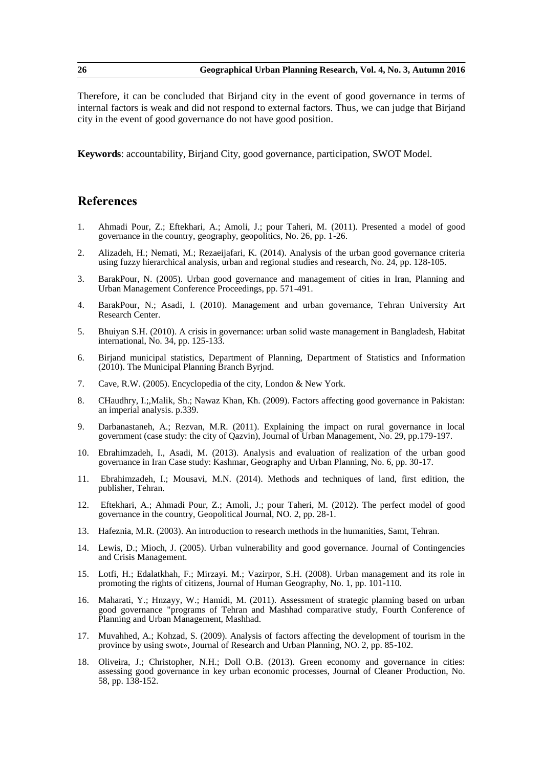Therefore, it can be concluded that Birjand city in the event of good governance in terms of internal factors is weak and did not respond to external factors. Thus, we can judge that Birjand city in the event of good governance do not have good position.

**Keywords**: accountability, Birjand City, good governance, participation, SWOT Model.

- 1. Ahmadi Pour, Z.; Eftekhari, A.; Amoli, J.; pour Taheri, M. (2011). Presented a model of good governance in the country, geography, geopolitics, No. 26, pp. 1-26.
- 2. Alizadeh, H.; Nemati, M.; Rezaeijafari, K. (2014). Analysis of the urban good governance criteria using fuzzy hierarchical analysis, urban and regional studies and research, No. 24, pp. 128-105.
- 3. BarakPour, N. (2005). Urban good governance and management of cities in Iran, Planning and Urban Management Conference Proceedings, pp. 571-491.
- 4. BarakPour, N.; Asadi, I. (2010). Management and urban governance, Tehran University Art Research Center.
- 5. Bhuiyan S.H. (2010). A crisis in governance: urban solid waste management in Bangladesh, Habitat international, No. 34, pp. 125-133.
- 6. Birjand municipal statistics, Department of Planning, Department of Statistics and Information (2010). The Municipal Planning Branch Byrjnd.
- 7. Cave, R.W. (2005). Encyclopedia of the city, London & New York.
- 8. CHaudhry, I.;,Malik, Sh.; Nawaz Khan, Kh. (2009). Factors affecting good governance in Pakistan: an imperial analysis. p.339.
- 9. Darbanastaneh, A.; Rezvan, M.R. (2011). Explaining the impact on rural governance in local government (case study: the city of Qazvin), Journal of Urban Management, No. 29, pp.179-197.
- 10. Ebrahimzadeh, I., Asadi, M. (2013). Analysis and evaluation of realization of the urban good governance in Iran Case study: Kashmar, Geography and Urban Planning, No. 6, pp. 30-17.
- 11. Ebrahimzadeh, I.; Mousavi, M.N. (2014). Methods and techniques of land, first edition, the publisher, Tehran.
- 12. Eftekhari, A.; Ahmadi Pour, Z.; Amoli, J.; pour Taheri, M. (2012). The perfect model of good governance in the country, Geopolitical Journal, NO. 2, pp. 28-1.
- 13. Hafeznia, M.R. (2003). An introduction to research methods in the humanities, Samt, Tehran.
- 14. Lewis, D.; Mioch, J. (2005). Urban vulnerability and good governance. Journal of Contingencies and Crisis Management.
- 15. Lotfi, H.; Edalatkhah, F.; Mirzayi. M.; Vazirpor, S.H. (2008). Urban management and its role in promoting the rights of citizens, Journal of Human Geography, No. 1, pp. 101-110.
- 16. Maharati, Y.; Hnzayy, W.; Hamidi, M. (2011). Assessment of strategic planning based on urban good governance "programs of Tehran and Mashhad comparative study, Fourth Conference of Planning and Urban Management, Mashhad.
- 17. Muvahhed, A.; Kohzad, S. (2009). Analysis of factors affecting the development of tourism in the province by using swot», Journal of Research and Urban Planning, NO. 2, pp. 85-102.
- 18. Oliveira, J.; Christopher, N.H.; Doll O.B. (2013). Green economy and governance in cities: assessing good governance in key urban economic processes, Journal of Cleaner Production, No. 58, pp. 138-152.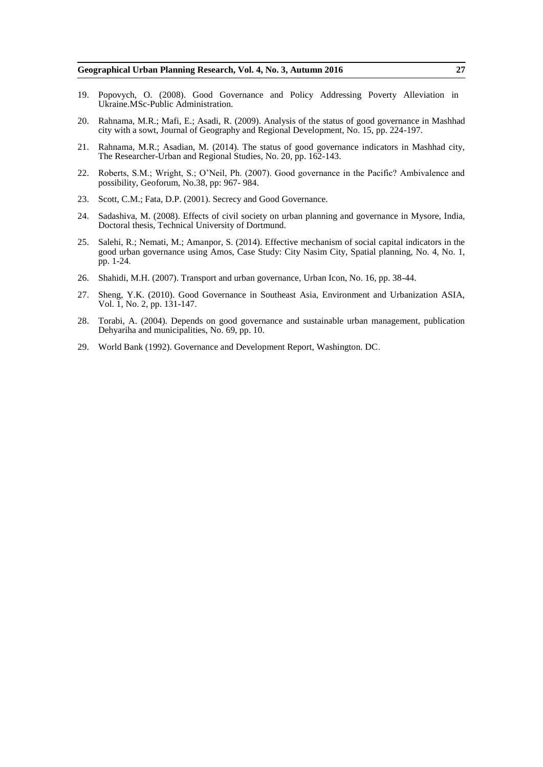- 19. Popovych, O. (2008). Good Governance and Policy Addressing Poverty Alleviation in Ukraine.MSc-Public Administration.
- 20. Rahnama, M.R.; Mafi, E.; Asadi, R. (2009). Analysis of the status of good governance in Mashhad city with a sowt, Journal of Geography and Regional Development, No. 15, pp. 224-197.
- 21. Rahnama, M.R.; Asadian, M. (2014). The status of good governance indicators in Mashhad city, The Researcher-Urban and Regional Studies, No. 20, pp. 162-143.
- 22. Roberts, S.M.; Wright, S.; O'Neil, Ph. (2007). Good governance in the Pacific? Ambivalence and possibility, Geoforum, No.38, pp: 967- 984.
- 23. Scott, C.M.; Fata, D.P. (2001). Secrecy and Good Governance.
- 24. Sadashiva, M. (2008). Effects of civil society on urban planning and governance in Mysore, India, Doctoral thesis, Technical University of Dortmund.
- 25. Salehi, R.; Nemati, M.; Amanpor, S. (2014). Effective mechanism of social capital indicators in the good urban governance using Amos, Case Study: City Nasim City, Spatial planning, No. 4, No. 1, pp. 1-24.
- 26. Shahidi, M.H. (2007). Transport and urban governance, Urban Icon, No. 16, pp. 38-44.
- 27. Sheng, Y.K. (2010). Good Governance in Southeast Asia, Environment and Urbanization ASIA, Vol. 1, No. 2, pp. 131-147.
- 28. Torabi, A. (2004). Depends on good governance and sustainable urban management, publication Dehyariha and municipalities, No. 69, pp. 10.
- 29. World Bank (1992). Governance and Development Report, Washington. DC.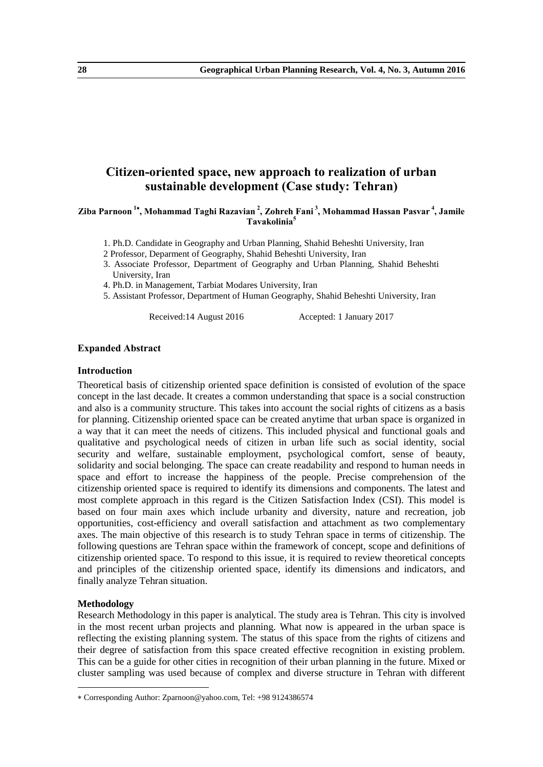## **Citizen-oriented space, new approach to realization of urban sustainable development (Case study: Tehran)**

## **Ziba Parnoon <sup>1</sup> , Mohammad Taghi Razavian <sup>2</sup> , Zohreh Fani <sup>3</sup> , Mohammad Hassan Pasvar <sup>4</sup> , Jamile Tavakolinia<sup>5</sup>**

1. Ph.D. Candidate in Geography and Urban Planning, Shahid Beheshti University, Iran

- 2 Professor, Deparment of Geography, Shahid Beheshti University, Iran
- 3. Associate Professor, Department of Geography and Urban Planning, Shahid Beheshti University, Iran
- 4. Ph.D. in Management, Tarbiat Modares University, Iran
- 5. Assistant Professor, Department of Human Geography, Shahid Beheshti University, Iran

Received:14 August 2016 Accepted: 1 January 2017

## **Expanded Abstract**

## **Introduction**

Theoretical basis of citizenship oriented space definition is consisted of evolution of the space concept in the last decade. It creates a common understanding that space is a social construction and also is a community structure. This takes into account the social rights of citizens as a basis for planning. Citizenship oriented space can be created anytime that urban space is organized in a way that it can meet the needs of citizens. This included physical and functional goals and qualitative and psychological needs of citizen in urban life such as social identity, social security and welfare, sustainable employment, psychological comfort, sense of beauty, solidarity and social belonging. The space can create readability and respond to human needs in space and effort to increase the happiness of the people. Precise comprehension of the citizenship oriented space is required to identify its dimensions and components. The latest and most complete approach in this regard is the Citizen Satisfaction Index (CSI). This model is based on four main axes which include urbanity and diversity, nature and recreation, job opportunities, cost-efficiency and overall satisfaction and attachment as two complementary axes. The main objective of this research is to study Tehran space in terms of citizenship. The following questions are Tehran space within the framework of concept, scope and definitions of citizenship oriented space. To respond to this issue, it is required to review theoretical concepts and principles of the citizenship oriented space, identify its dimensions and indicators, and finally analyze Tehran situation.

## **Methodology**

-

Research Methodology in this paper is analytical. The study area is Tehran. This city is involved in the most recent urban projects and planning. What now is appeared in the urban space is reflecting the existing planning system. The status of this space from the rights of citizens and their degree of satisfaction from this space created effective recognition in existing problem. This can be a guide for other cities in recognition of their urban planning in the future. Mixed or cluster sampling was used because of complex and diverse structure in Tehran with different

Corresponding Author: Zparnoon@yahoo.com, Tel: +98 9124386574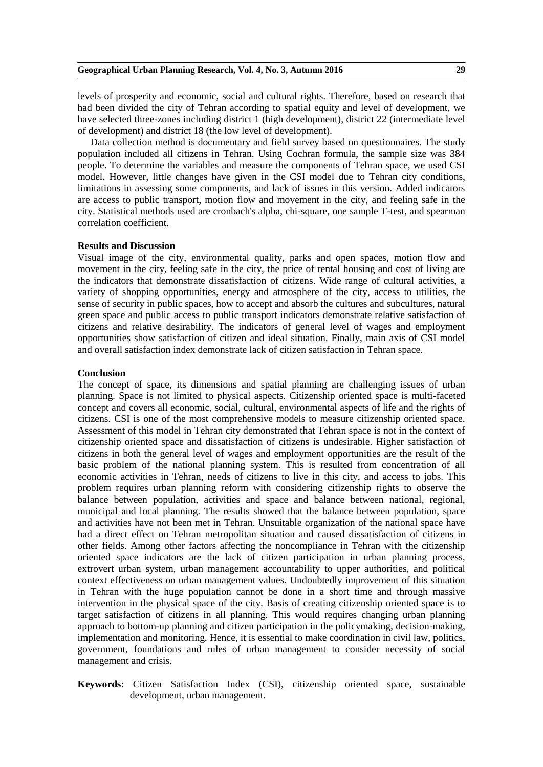## **Geographical Urban Planning Research, Vol. 4, No. 3, Autumn 2016 29**

levels of prosperity and economic, social and cultural rights. Therefore, based on research that had been divided the city of Tehran according to spatial equity and level of development, we have selected three-zones including district 1 (high development), district 22 (intermediate level of development) and district 18 (the low level of development).

Data collection method is documentary and field survey based on questionnaires. The study population included all citizens in Tehran. Using Cochran formula, the sample size was 384 people. To determine the variables and measure the components of Tehran space, we used CSI model. However, little changes have given in the CSI model due to Tehran city conditions, limitations in assessing some components, and lack of issues in this version. Added indicators are access to public transport, motion flow and movement in the city, and feeling safe in the city. Statistical methods used are cronbach's alpha, chi-square, one sample T-test, and spearman correlation coefficient.

## **Results and Discussion**

Visual image of the city, environmental quality, parks and open spaces, motion flow and movement in the city, feeling safe in the city, the price of rental housing and cost of living are the indicators that demonstrate dissatisfaction of citizens. Wide range of cultural activities, a variety of shopping opportunities, energy and atmosphere of the city, access to utilities, the sense of security in public spaces, how to accept and absorb the cultures and subcultures, natural green space and public access to public transport indicators demonstrate relative satisfaction of citizens and relative desirability. The indicators of general level of wages and employment opportunities show satisfaction of citizen and ideal situation. Finally, main axis of CSI model and overall satisfaction index demonstrate lack of citizen satisfaction in Tehran space.

### **Conclusion**

The concept of space, its dimensions and spatial planning are challenging issues of urban planning. Space is not limited to physical aspects. Citizenship oriented space is multi-faceted concept and covers all economic, social, cultural, environmental aspects of life and the rights of citizens. CSI is one of the most comprehensive models to measure citizenship oriented space. Assessment of this model in Tehran city demonstrated that Tehran space is not in the context of citizenship oriented space and dissatisfaction of citizens is undesirable. Higher satisfaction of citizens in both the general level of wages and employment opportunities are the result of the basic problem of the national planning system. This is resulted from concentration of all economic activities in Tehran, needs of citizens to live in this city, and access to jobs. This problem requires urban planning reform with considering citizenship rights to observe the balance between population, activities and space and balance between national, regional, municipal and local planning. The results showed that the balance between population, space and activities have not been met in Tehran. Unsuitable organization of the national space have had a direct effect on Tehran metropolitan situation and caused dissatisfaction of citizens in other fields. Among other factors affecting the noncompliance in Tehran with the citizenship oriented space indicators are the lack of citizen participation in urban planning process, extrovert urban system, urban management accountability to upper authorities, and political context effectiveness on urban management values. Undoubtedly improvement of this situation in Tehran with the huge population cannot be done in a short time and through massive intervention in the physical space of the city. Basis of creating citizenship oriented space is to target satisfaction of citizens in all planning. This would requires changing urban planning approach to bottom-up planning and citizen participation in the policymaking, decision-making, implementation and monitoring. Hence, it is essential to make coordination in civil law, politics, government, foundations and rules of urban management to consider necessity of social management and crisis.

**Keywords**: Citizen Satisfaction Index (CSI), citizenship oriented space, sustainable development, urban management.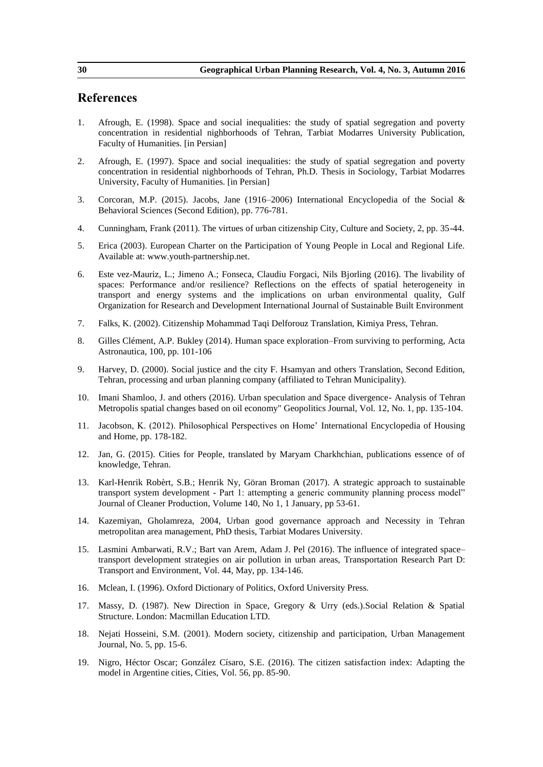- 1. Afrough, E. (1998). Space and social inequalities: the study of spatial segregation and poverty concentration in residential nighborhoods of Tehran, Tarbiat Modarres University Publication, Faculty of Humanities. [in Persian]
- 2. Afrough, E. (1997). Space and social inequalities: the study of spatial segregation and poverty concentration in residential nighborhoods of Tehran, Ph.D. Thesis in Sociology, Tarbiat Modarres University, Faculty of Humanities. [in Persian]
- 3. Corcoran, M.P. (2015). Jacobs, Jane (1916–2006) International Encyclopedia of the Social & Behavioral Sciences (Second Edition), pp. 776-781.
- 4. Cunningham, Frank (2011). The virtues of urban citizenship City, Culture and Society, 2, pp. 35-44.
- 5. Erica (2003). European Charter on the Participation of Young People in Local and Regional Life. Available at: www.youth-partnership.net.
- 6. Este vez-Mauriz, L.; Jimeno A.; Fonseca, Claudiu Forgaci, Nils Bjorling (2016). The livability of spaces: Performance and/or resilience? Reflections on the effects of spatial heterogeneity in transport and energy systems and the implications on urban environmental quality, Gulf Organization for Research and Development International Journal of Sustainable Built Environment
- 7. Falks, K. (2002). Citizenship Mohammad Taqi Delforouz Translation, Kimiya Press, Tehran.
- 8. Gilles Clément, A.P. Bukley (2014). Human space exploration–From surviving to performing, Acta Astronautica, 100, pp. 101-106
- 9. Harvey, D. (2000). Social justice and the city F. Hsamyan and others Translation, Second Edition, Tehran, processing and urban planning company (affiliated to Tehran Municipality).
- 10. Imani Shamloo, J. and others (2016). Urban speculation and Space divergence- Analysis of Tehran Metropolis spatial changes based on oil economy" Geopolitics Journal, Vol. 12, No. 1, pp. 135-104.
- 11. Jacobson, K. (2012). Philosophical Perspectives on Home' International Encyclopedia of Housing and Home, pp. 178-182.
- 12. Jan, G. (2015). Cities for People, translated by Maryam Charkhchian, publications essence of of knowledge, Tehran.
- 13. Karl-Henrik Robèrt, S.B.; Henrik Ny, Göran Broman (2017). A strategic approach to sustainable transport system development - Part 1: attempting a generic community planning process model" Journal of Cleaner Production, Volume 140, No 1, 1 January, pp 53-61.
- 14. Kazemiyan, Gholamreza, 2004, Urban good governance approach and Necessity in Tehran metropolitan area management, PhD thesis, Tarbiat Modares University.
- 15. Lasmini Ambarwati, R.V.; Bart van Arem, Adam J. Pel (2016). The influence of integrated space– transport development strategies on air pollution in urban areas, Transportation Research Part D: Transport and Environment, Vol. 44, May, pp. 134-146.
- 16. Mclean, I. (1996). Oxford Dictionary of Politics, Oxford University Press.
- 17. Massy, D. (1987). New Direction in Space, Gregory & Urry (eds.).Social Relation & Spatial Structure. London: Macmillan Education LTD.
- 18. Nejati Hosseini, S.M. (2001). Modern society, citizenship and participation, Urban Management Journal, No. 5, pp. 15-6.
- 19. Nigro, Héctor Oscar; González Císaro, S.E. (2016). The citizen satisfaction index: Adapting the model in Argentine cities, Cities, Vol. 56, pp. 85-90.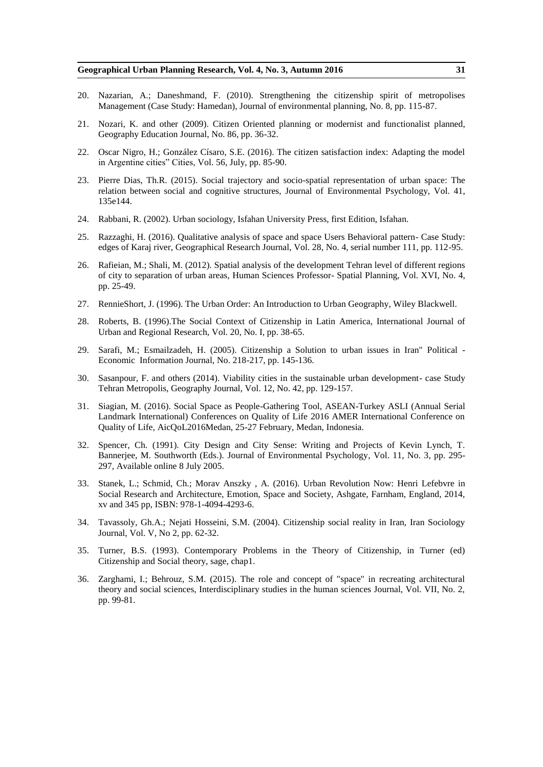- 20. Nazarian, A.; Daneshmand, F. (2010). Strengthening the citizenship spirit of metropolises Management (Case Study: Hamedan), Journal of environmental planning, No. 8, pp. 115-87.
- 21. Nozari, K. and other (2009). Citizen Oriented planning or modernist and functionalist planned, Geography Education Journal, No. 86, pp. 36-32.
- 22. Oscar Nigro, H.; González Císaro, S.E. (2016). The citizen satisfaction index: Adapting the model in Argentine cities" Cities, Vol. 56, July, pp. 85-90.
- 23. Pierre Dias, Th.R. (2015). Social trajectory and socio-spatial representation of urban space: The relation between social and cognitive structures, Journal of Environmental Psychology, Vol. 41, 135e144.
- 24. Rabbani, R. (2002). Urban sociology, Isfahan University Press, first Edition, Isfahan.
- 25. Razzaghi, H. (2016). Qualitative analysis of space and space Users Behavioral pattern- Case Study: edges of Karaj river, Geographical Research Journal, Vol. 28, No. 4, serial number 111, pp. 112-95.
- 26. Rafieian, M.; Shali, M. (2012). Spatial analysis of the development Tehran level of different regions of city to separation of urban areas, Human Sciences Professor- Spatial Planning, Vol. XVI, No. 4, pp. 25-49.
- 27. RennieShort, J. (1996). The Urban Order: An Introduction to Urban Geography, Wiley Blackwell.
- 28. Roberts, B. (1996).The Social Context of Citizenship in Latin America, International Journal of Urban and Regional Research, Vol. 20, No. I, pp. 38-65.
- 29. Sarafi, M.; Esmailzadeh, H. (2005). Citizenship a Solution to urban issues in Iran" Political Economic Information Journal, No. 218-217, pp. 145-136.
- 30. Sasanpour, F. and others (2014). Viability cities in the sustainable urban development- case Study Tehran Metropolis, Geography Journal, Vol. 12, No. 42, pp. 129-157.
- 31. Siagian, M. (2016). Social Space as People-Gathering Tool, ASEAN-Turkey ASLI (Annual Serial Landmark International) Conferences on Quality of Life 2016 AMER International Conference on Quality of Life, AicQoL2016Medan, 25-27 February, Medan, Indonesia.
- 32. Spencer, Ch. (1991). City Design and City Sense: Writing and Projects of Kevin Lynch, T. Bannerjee, M. Southworth (Eds.). Journal of Environmental Psychology, Vol. 11, No. 3, pp. 295- 297, Available online 8 July 2005.
- 33. Stanek, L.; Schmid, Ch.; Morav Anszky , A. (2016). Urban Revolution Now: Henri Lefebvre in Social Research and Architecture, Emotion, Space and Society, Ashgate, Farnham, England, 2014, xv and 345 pp, ISBN: 978-1-4094-4293-6.
- 34. Tavassoly, Gh.A.; Nejati Hosseini, S.M. (2004). Citizenship social reality in Iran, Iran Sociology Journal, Vol. V, No 2, pp. 62-32.
- 35. Turner, B.S. (1993). Contemporary Problems in the Theory of Citizenship, in Turner (ed) Citizenship and Social theory, sage, chap1.
- 36. Zarghami, I.; Behrouz, S.M. (2015). The role and concept of "space" in recreating architectural theory and social sciences, Interdisciplinary studies in the human sciences Journal, Vol. VII, No. 2, pp. 99-81.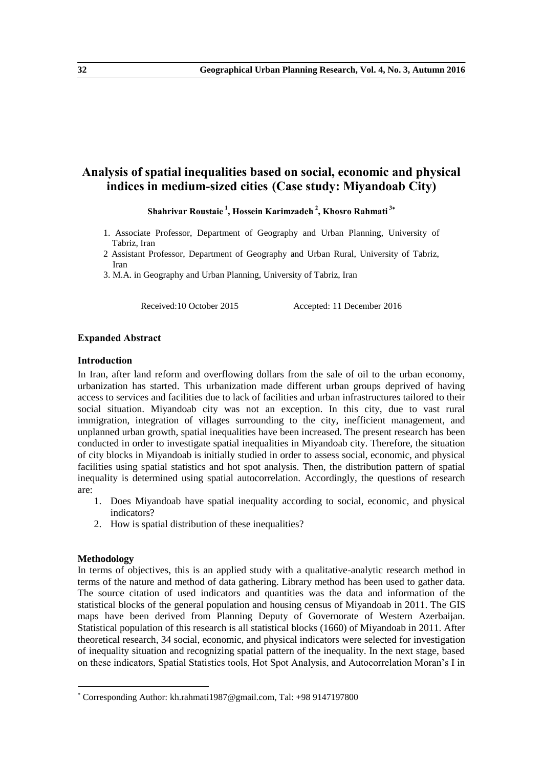## **Analysis of spatial inequalities based on social, economic and physical indices in medium-sized cities (Case study: Miyandoab City)**

**Shahrivar Roustaie <sup>1</sup> , Hossein Karimzadeh <sup>2</sup> , Khosro Rahmati <sup>3</sup>**

- 1. Associate Professor, Department of Geography and Urban Planning, University of Tabriz, Iran
- 2 Assistant Professor, Department of Geography and Urban Rural, University of Tabriz, Iran
- 3. M.A. in Geography and Urban Planning, University of Tabriz, Iran

Received:10 October 2015 Accepted: 11 December 2016

## **Expanded Abstract**

#### **Introduction**

In Iran, after land reform and overflowing dollars from the sale of oil to the urban economy, urbanization has started. This urbanization made different urban groups deprived of having access to services and facilities due to lack of facilities and urban infrastructures tailored to their social situation. Miyandoab city was not an exception. In this city, due to vast rural immigration, integration of villages surrounding to the city, inefficient management, and unplanned urban growth, spatial inequalities have been increased. The present research has been conducted in order to investigate spatial inequalities in Miyandoab city. Therefore, the situation of city blocks in Miyandoab is initially studied in order to assess social, economic, and physical facilities using spatial statistics and hot spot analysis. Then, the distribution pattern of spatial inequality is determined using spatial autocorrelation. Accordingly, the questions of research are:

- 1. Does Miyandoab have spatial inequality according to social, economic, and physical indicators?
- 2. How is spatial distribution of these inequalities?

## **Methodology**

-

In terms of objectives, this is an applied study with a qualitative-analytic research method in terms of the nature and method of data gathering. Library method has been used to gather data. The source citation of used indicators and quantities was the data and information of the statistical blocks of the general population and housing census of Miyandoab in 2011. The GIS maps have been derived from Planning Deputy of Governorate of Western Azerbaijan. Statistical population of this research is all statistical blocks (1660) of Miyandoab in 2011. After theoretical research, 34 social, economic, and physical indicators were selected for investigation of inequality situation and recognizing spatial pattern of the inequality. In the next stage, based on these indicators, Spatial Statistics tools, Hot Spot Analysis, and Autocorrelation Moran's I in

Corresponding Author: kh.rahmati1987@gmail.com, Tal: +98 9147197800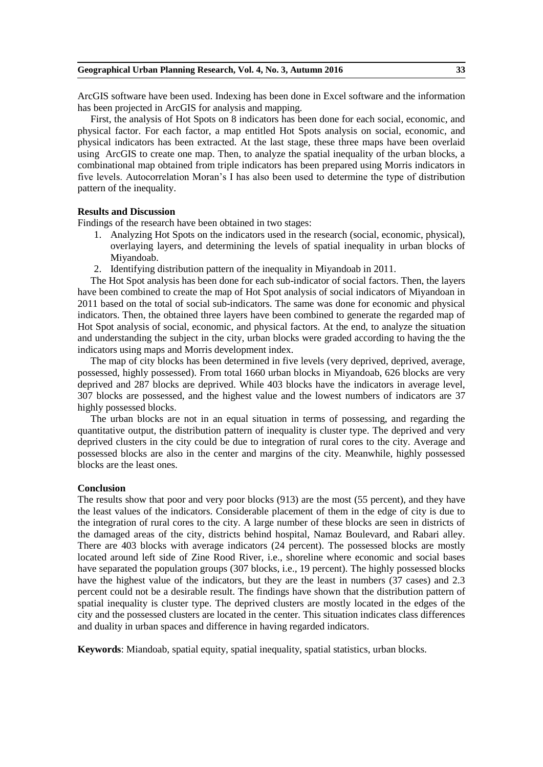ArcGIS software have been used. Indexing has been done in Excel software and the information has been projected in ArcGIS for analysis and mapping.

First, the analysis of Hot Spots on 8 indicators has been done for each social, economic, and physical factor. For each factor, a map entitled Hot Spots analysis on social, economic, and physical indicators has been extracted. At the last stage, these three maps have been overlaid using ArcGIS to create one map. Then, to analyze the spatial inequality of the urban blocks, a combinational map obtained from triple indicators has been prepared using Morris indicators in five levels. Autocorrelation Moran's I has also been used to determine the type of distribution pattern of the inequality.

## **Results and Discussion**

Findings of the research have been obtained in two stages:

- 1. Analyzing Hot Spots on the indicators used in the research (social, economic, physical), overlaying layers, and determining the levels of spatial inequality in urban blocks of Miyandoab.
- 2. Identifying distribution pattern of the inequality in Miyandoab in 2011.

The Hot Spot analysis has been done for each sub-indicator of social factors. Then, the layers have been combined to create the map of Hot Spot analysis of social indicators of Miyandoan in 2011 based on the total of social sub-indicators. The same was done for economic and physical indicators. Then, the obtained three layers have been combined to generate the regarded map of Hot Spot analysis of social, economic, and physical factors. At the end, to analyze the situation and understanding the subject in the city, urban blocks were graded according to having the the indicators using maps and Morris development index.

The map of city blocks has been determined in five levels (very deprived, deprived, average, possessed, highly possessed). From total 1660 urban blocks in Miyandoab, 626 blocks are very deprived and 287 blocks are deprived. While 403 blocks have the indicators in average level, 307 blocks are possessed, and the highest value and the lowest numbers of indicators are 37 highly possessed blocks.

The urban blocks are not in an equal situation in terms of possessing, and regarding the quantitative output, the distribution pattern of inequality is cluster type. The deprived and very deprived clusters in the city could be due to integration of rural cores to the city. Average and possessed blocks are also in the center and margins of the city. Meanwhile, highly possessed blocks are the least ones.

## **Conclusion**

The results show that poor and very poor blocks (913) are the most (55 percent), and they have the least values of the indicators. Considerable placement of them in the edge of city is due to the integration of rural cores to the city. A large number of these blocks are seen in districts of the damaged areas of the city, districts behind hospital, Namaz Boulevard, and Rabari alley. There are 403 blocks with average indicators (24 percent). The possessed blocks are mostly located around left side of Zine Rood River, i.e., shoreline where economic and social bases have separated the population groups (307 blocks, i.e., 19 percent). The highly possessed blocks have the highest value of the indicators, but they are the least in numbers (37 cases) and 2.3 percent could not be a desirable result. The findings have shown that the distribution pattern of spatial inequality is cluster type. The deprived clusters are mostly located in the edges of the city and the possessed clusters are located in the center. This situation indicates class differences and duality in urban spaces and difference in having regarded indicators.

**Keywords**: Miandoab, spatial equity, spatial inequality, spatial statistics, urban blocks.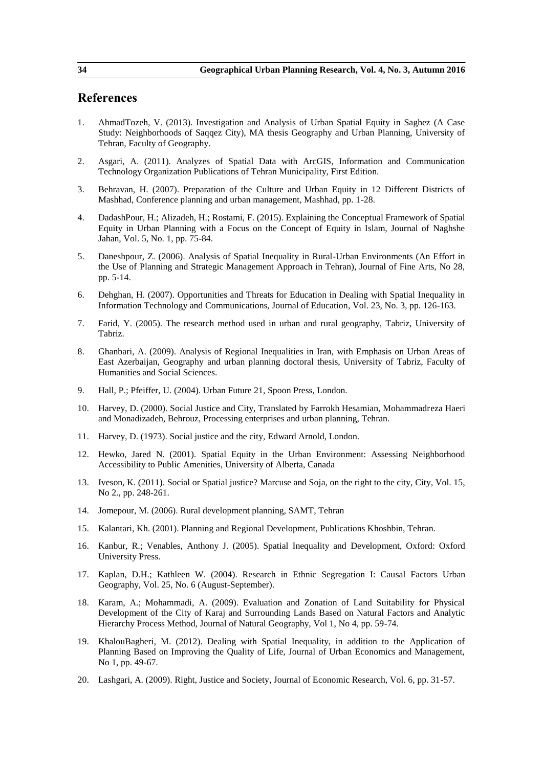- 1. AhmadTozeh, V. (2013). Investigation and Analysis of Urban Spatial Equity in Saghez (A Case Study: Neighborhoods of Saqqez City), MA thesis Geography and Urban Planning, University of Tehran, Faculty of Geography.
- 2. Asgari, A. (2011). Analyzes of Spatial Data with ArcGIS, Information and Communication Technology Organization Publications of Tehran Municipality, First Edition.
- 3. Behravan, H. (2007). Preparation of the Culture and Urban Equity in 12 Different Districts of Mashhad, Conference planning and urban management, Mashhad, pp. 1-28.
- 4. DadashPour, H.; Alizadeh, H.; Rostami, F. (2015). Explaining the Conceptual Framework of Spatial Equity in Urban Planning with a Focus on the Concept of Equity in Islam, Journal of Naghshe Jahan, Vol. 5, No. 1, pp. 75-84.
- 5. Daneshpour, Z. (2006). Analysis of Spatial Inequality in Rural-Urban Environments (An Effort in the Use of Planning and Strategic Management Approach in Tehran), Journal of Fine Arts, No 28, pp. 5-14.
- 6. Dehghan, H. (2007). Opportunities and Threats for Education in Dealing with Spatial Inequality in Information Technology and Communications, Journal of Education, Vol. 23, No. 3, pp. 126-163.
- 7. Farid, Y. (2005). The research method used in urban and rural geography, Tabriz, University of Tabriz.
- 8. Ghanbari, A. (2009). Analysis of Regional Inequalities in Iran, with Emphasis on Urban Areas of East Azerbaijan, Geography and urban planning doctoral thesis, University of Tabriz, Faculty of Humanities and Social Sciences.
- 9. Hall, P.; Pfeiffer, U. (2004). Urban Future 21, Spoon Press, London.
- 10. Harvey, D. (2000). Social Justice and City, Translated by Farrokh Hesamian, Mohammadreza Haeri and Monadizadeh, Behrouz, Processing enterprises and urban planning, Tehran.
- 11. Harvey, D. (1973). Social justice and the city, Edward Arnold, London.
- 12. Hewko, Jared N. (2001). Spatial Equity in the Urban Environment: Assessing Neighborhood Accessibility to Public Amenities, University of Alberta, Canada
- 13. Iveson, K. (2011). Social or Spatial justice? Marcuse and Soja, on the right to the city, City, Vol. 15, No 2., pp. 248-261.
- 14. Jomepour, M. (2006). Rural development planning, SAMT, Tehran
- 15. Kalantari, Kh. (2001). Planning and Regional Development, Publications Khoshbin, Tehran.
- 16. Kanbur, R.; Venables, Anthony J. (2005). Spatial Inequality and Development, Oxford: Oxford University Press.
- 17. Kaplan, D.H.; Kathleen W. (2004). Research in Ethnic Segregation I: Causal Factors Urban Geography, Vol. 25, No. 6 (August-September).
- 18. Karam, A.; Mohammadi, A. (2009). Evaluation and Zonation of Land Suitability for Physical Development of the City of Karaj and Surrounding Lands Based on Natural Factors and Analytic Hierarchy Process Method, Journal of Natural Geography, Vol 1, No 4, pp. 59-74.
- 19. KhalouBagheri, M. (2012). Dealing with Spatial Inequality, in addition to the Application of Planning Based on Improving the Quality of Life, Journal of Urban Economics and Management, No 1, pp. 49-67.
- 20. Lashgari, A. (2009). Right, Justice and Society, Journal of Economic Research, Vol. 6, pp. 31-57.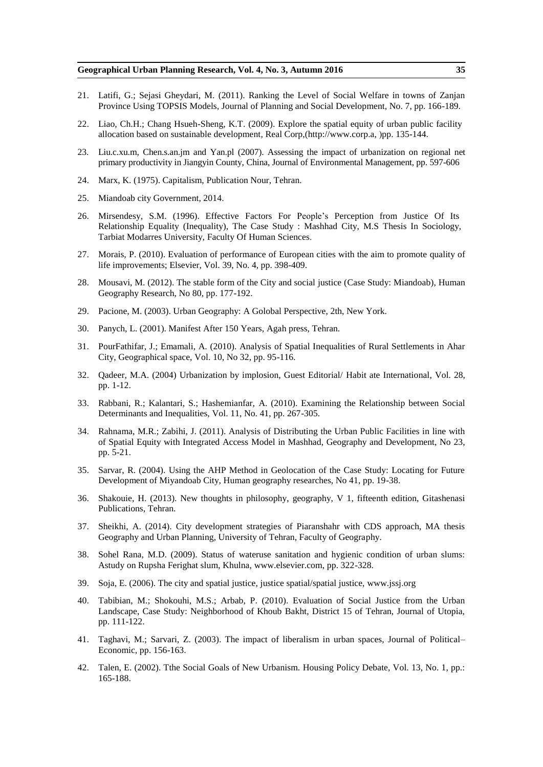- 21. Latifi, G.; Sejasi Gheydari, M. (2011). Ranking the Level of Social Welfare in towns of Zanjan Province Using TOPSIS Models, Journal of Planning and Social Development, No. 7, pp. 166-189.
- 22. Liao, Ch.H.; Chang Hsueh-Sheng, K.T. (2009). Explore the spatial equity of urban public facility allocation based on sustainable development, Real Corp,(http://www.corp.a, (pp. 135-144.
- 23. Liu.c.xu.m, Chen.s.an.jm and Yan.pl (2007). Assessing the impact of urbanization on regional net primary productivity in Jiangyin County, China, Journal of Environmental Management, pp. 597-606
- 24. Marx, K. (1975). Capitalism, Publication Nour, Tehran.
- 25. Miandoab city Government, 2014.
- 26. Mirsendesy, S.M. (1996). Effective Factors For People's Perception from Justice Of Its Relationship Equality (Inequality), The Case Study : Mashhad City, M.S Thesis In Sociology, Tarbiat Modarres University, Faculty Of Human Sciences.
- 27. Morais, P. (2010). Evaluation of performance of European cities with the aim to promote quality of life improvements; Elsevier, Vol. 39, No. 4, pp. 398-409.
- 28. Mousavi, M. (2012). The stable form of the City and social justice (Case Study: Miandoab), Human Geography Research, No 80, pp. 177-192.
- 29. Pacione, M. (2003). Urban Geography: A Golobal Perspective, 2th, New York.
- 30. Panych, L. (2001). Manifest After 150 Years, Agah press, Tehran.
- 31. PourFathifar, J.; Emamali, A. (2010). Analysis of Spatial Inequalities of Rural Settlements in Ahar City, Geographical space, Vol. 10, No 32, pp. 95-116.
- 32. Qadeer, M.A. (2004) Urbanization by implosion, Guest Editorial/ Habit ate International, Vol. 28, pp. 1-12.
- 33. Rabbani, R.; Kalantari, S.; Hashemianfar, A. (2010). Examining the Relationship between Social Determinants and Inequalities, Vol. 11, No. 41, pp. 267-305.
- 34. Rahnama, M.R.; Zabihi, J. (2011). Analysis of Distributing the Urban Public Facilities in line with of Spatial Equity with Integrated Access Model in Mashhad, Geography and Development, No 23, pp. 5-21.
- 35. Sarvar, R. (2004). Using the AHP Method in Geolocation of the Case Study: Locating for Future Development of Miyandoab City, Human geography researches, No 41, pp. 19-38.
- 36. Shakouie, H. (2013). New thoughts in philosophy, geography, V 1, fifteenth edition, Gitashenasi Publications, Tehran.
- 37. Sheikhi, A. (2014). City development strategies of Piaranshahr with CDS approach, MA thesis Geography and Urban Planning, University of Tehran, Faculty of Geography.
- 38. Sohel Rana, M.D. (2009). Status of wateruse sanitation and hygienic condition of urban slums: Astudy on Rupsha Ferighat slum, Khulna, www.elsevier.com, pp. 322-328.
- 39. Soja, E. (2006). The city and spatial justice, justice spatial/spatial justice, www.jssj.org
- 40. Tabibian, M.; Shokouhi, M.S.; Arbab, P. (2010). Evaluation of Social Justice from the Urban Landscape, Case Study: Neighborhood of Khoub Bakht, District 15 of Tehran, Journal of Utopia, pp. 111-122.
- 41. Taghavi, M.; Sarvari, Z. (2003). The impact of liberalism in urban spaces, Journal of Political– Economic, pp. 156-163.
- 42. Talen, E. (2002). Tthe Social Goals of New Urbanism. Housing Policy Debate, Vol. 13, No. 1, pp.: 165-188.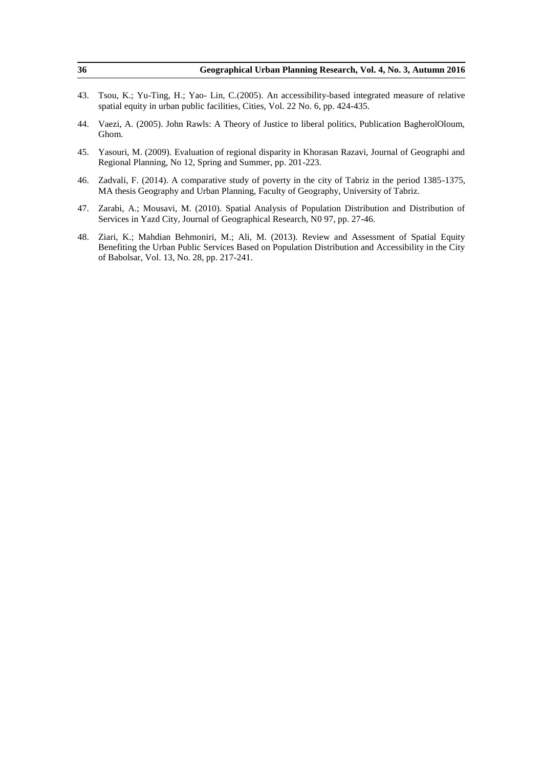| 36  | Geographical Urban Planning Research, Vol. 4, No. 3, Autumn 2016                                                                                                                                                                               |
|-----|------------------------------------------------------------------------------------------------------------------------------------------------------------------------------------------------------------------------------------------------|
| 43. | Tsou, K.; Yu-Ting, H.; Yao-Lin, C. (2005). An accessibility-based integrated measure of relative<br>spatial equity in urban public facilities, Cities, Vol. 22 No. 6, pp. 424-435.                                                             |
| 44. | Vaezi, A. (2005). John Rawls: A Theory of Justice to liberal politics, Publication BagherolOloum,<br>Ghom.                                                                                                                                     |
| 45. | Yasouri, M. (2009). Evaluation of regional disparity in Khorasan Razavi, Journal of Geographi and<br>Regional Planning, No 12, Spring and Summer, pp. 201-223.                                                                                 |
| 46. | Zadvali, F. (2014). A comparative study of poverty in the city of Tabriz in the period 1385-1375,<br>MA thesis Geography and Urban Planning, Faculty of Geography, University of Tabriz.                                                       |
| 47. | Zarabi, A.; Mousavi, M. (2010). Spatial Analysis of Population Distribution and Distribution of<br>Services in Yazd City, Journal of Geographical Research, N0 97, pp. 27-46.                                                                  |
| 48. | Ziari, K.; Mahdian Behmoniri, M.; Ali, M. (2013). Review and Assessment of Spatial Equity<br>Benefiting the Urban Public Services Based on Population Distribution and Accessibility in the City<br>of Babolsar, Vol. 13, No. 28, pp. 217-241. |
|     |                                                                                                                                                                                                                                                |
|     |                                                                                                                                                                                                                                                |
|     |                                                                                                                                                                                                                                                |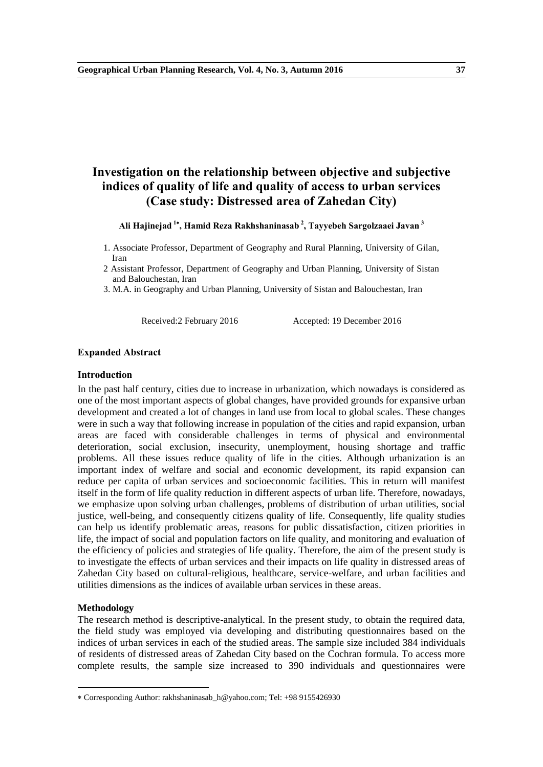# **Investigation on the relationship between objective and subjective indices of quality of life and quality of access to urban services (Case study: Distressed area of Zahedan City)**

## **Ali Hajinejad <sup>1</sup> , Hamid Reza Rakhshaninasab <sup>2</sup> , Tayyebeh Sargolzaaei Javan <sup>3</sup>**

- 1. Associate Professor, Department of Geography and Rural Planning, University of Gilan, Iran
- 2 Assistant Professor, Department of Geography and Urban Planning, University of Sistan and Balouchestan, Iran
- 3. M.A. in Geography and Urban Planning, University of Sistan and Balouchestan, Iran

Received:2 February 2016 Accepted: 19 December 2016

### **Expanded Abstract**

## **Introduction**

In the past half century, cities due to increase in urbanization, which nowadays is considered as one of the most important aspects of global changes, have provided grounds for expansive urban development and created a lot of changes in land use from local to global scales. These changes were in such a way that following increase in population of the cities and rapid expansion, urban areas are faced with considerable challenges in terms of physical and environmental deterioration, social exclusion, insecurity, unemployment, housing shortage and traffic problems. All these issues reduce quality of life in the cities. Although urbanization is an important index of welfare and social and economic development, its rapid expansion can reduce per capita of urban services and socioeconomic facilities. This in return will manifest itself in the form of life quality reduction in different aspects of urban life. Therefore, nowadays, we emphasize upon solving urban challenges, problems of distribution of urban utilities, social justice, well-being, and consequently citizens quality of life. Consequently, life quality studies can help us identify problematic areas, reasons for public dissatisfaction, citizen priorities in life, the impact of social and population factors on life quality, and monitoring and evaluation of the efficiency of policies and strategies of life quality. Therefore, the aim of the present study is to investigate the effects of urban services and their impacts on life quality in distressed areas of Zahedan City based on cultural-religious, healthcare, service-welfare, and urban facilities and utilities dimensions as the indices of available urban services in these areas.

#### **Methodology**

-

The research method is descriptive-analytical. In the present study, to obtain the required data, the field study was employed via developing and distributing questionnaires based on the indices of urban services in each of the studied areas. The sample size included 384 individuals of residents of distressed areas of Zahedan City based on the Cochran formula. To access more complete results, the sample size increased to 390 individuals and questionnaires were

Corresponding Author: rakhshaninasab\_h@yahoo.com; Tel: +98 9155426930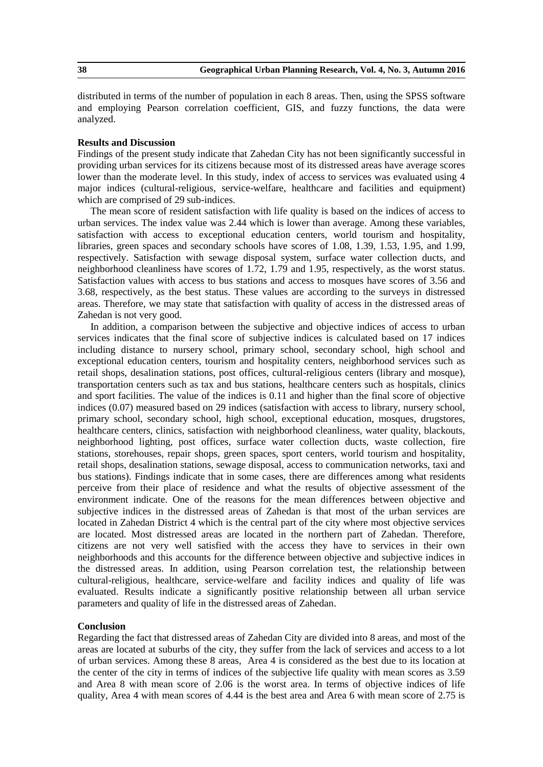distributed in terms of the number of population in each 8 areas. Then, using the SPSS software and employing Pearson correlation coefficient, GIS, and fuzzy functions, the data were analyzed.

### **Results and Discussion**

Findings of the present study indicate that Zahedan City has not been significantly successful in providing urban services for its citizens because most of its distressed areas have average scores lower than the moderate level. In this study, index of access to services was evaluated using 4 major indices (cultural-religious, service-welfare, healthcare and facilities and equipment) which are comprised of 29 sub-indices.

The mean score of resident satisfaction with life quality is based on the indices of access to urban services. The index value was 2.44 which is lower than average. Among these variables, satisfaction with access to exceptional education centers, world tourism and hospitality, libraries, green spaces and secondary schools have scores of 1.08, 1.39, 1.53, 1.95, and 1.99, respectively. Satisfaction with sewage disposal system, surface water collection ducts, and neighborhood cleanliness have scores of 1.72, 1.79 and 1.95, respectively, as the worst status. Satisfaction values with access to bus stations and access to mosques have scores of 3.56 and 3.68, respectively, as the best status. These values are according to the surveys in distressed areas. Therefore, we may state that satisfaction with quality of access in the distressed areas of Zahedan is not very good.

In addition, a comparison between the subjective and objective indices of access to urban services indicates that the final score of subjective indices is calculated based on 17 indices including distance to nursery school, primary school, secondary school, high school and exceptional education centers, tourism and hospitality centers, neighborhood services such as retail shops, desalination stations, post offices, cultural-religious centers (library and mosque), transportation centers such as tax and bus stations, healthcare centers such as hospitals, clinics and sport facilities. The value of the indices is 0.11 and higher than the final score of objective indices (0.07) measured based on 29 indices (satisfaction with access to library, nursery school, primary school, secondary school, high school, exceptional education, mosques, drugstores, healthcare centers, clinics, satisfaction with neighborhood cleanliness, water quality, blackouts, neighborhood lighting, post offices, surface water collection ducts, waste collection, fire stations, storehouses, repair shops, green spaces, sport centers, world tourism and hospitality, retail shops, desalination stations, sewage disposal, access to communication networks, taxi and bus stations). Findings indicate that in some cases, there are differences among what residents perceive from their place of residence and what the results of objective assessment of the environment indicate. One of the reasons for the mean differences between objective and subjective indices in the distressed areas of Zahedan is that most of the urban services are located in Zahedan District 4 which is the central part of the city where most objective services are located. Most distressed areas are located in the northern part of Zahedan. Therefore, citizens are not very well satisfied with the access they have to services in their own neighborhoods and this accounts for the difference between objective and subjective indices in the distressed areas. In addition, using Pearson correlation test, the relationship between cultural-religious, healthcare, service-welfare and facility indices and quality of life was evaluated. Results indicate a significantly positive relationship between all urban service parameters and quality of life in the distressed areas of Zahedan.

## **Conclusion**

Regarding the fact that distressed areas of Zahedan City are divided into 8 areas, and most of the areas are located at suburbs of the city, they suffer from the lack of services and access to a lot of urban services. Among these 8 areas, Area 4 is considered as the best due to its location at the center of the city in terms of indices of the subjective life quality with mean scores as 3.59 and Area 8 with mean score of 2.06 is the worst area. In terms of objective indices of life quality, Area 4 with mean scores of 4.44 is the best area and Area 6 with mean score of 2.75 is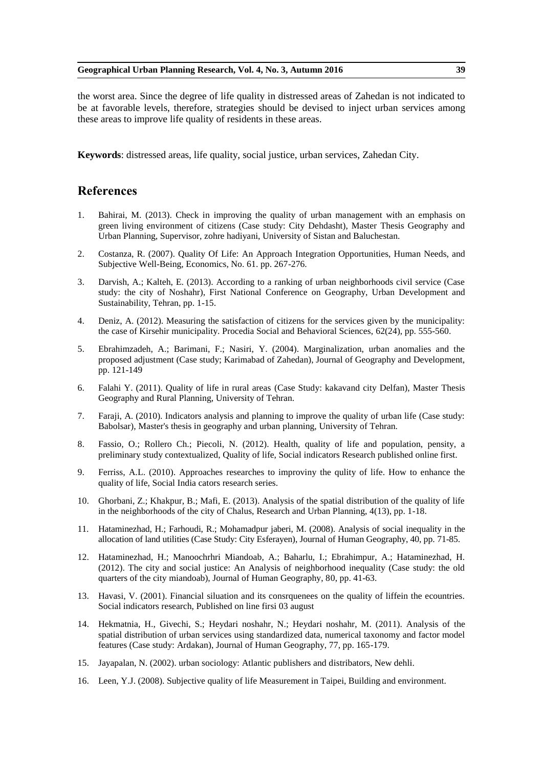the worst area. Since the degree of life quality in distressed areas of Zahedan is not indicated to be at favorable levels, therefore, strategies should be devised to inject urban services among these areas to improve life quality of residents in these areas.

**Keywords**: distressed areas, life quality, social justice, urban services, Zahedan City.

- 1. Bahirai, M. (2013). Check in improving the quality of urban management with an emphasis on green living environment of citizens (Case study: City Dehdasht), Master Thesis Geography and Urban Planning, Supervisor, zohre hadiyani, University of Sistan and Baluchestan.
- 2. Costanza, R. (2007). Quality Of Life: An Approach Integration Opportunities, Human Needs, and Subjective Well-Being, Economics, No. 61. pp. 267-276.
- 3. Darvish, A.; Kalteh, E. (2013). According to a ranking of urban neighborhoods civil service (Case study: the city of Noshahr), First National Conference on Geography, Urban Development and Sustainability, Tehran, pp. 1-15.
- 4. Deniz, A. (2012). Measuring the satisfaction of citizens for the services given by the municipality: the case of Kirsehir municipality. Procedia Social and Behavioral Sciences, 62(24), pp. 555-560.
- 5. Ebrahimzadeh, A.; Barimani, F.; Nasiri, Y. (2004). Marginalization, urban anomalies and the proposed adjustment (Case study; Karimabad of Zahedan), Journal of Geography and Development, pp. 121-149
- 6. Falahi Y. (2011). Quality of life in rural areas (Case Study: kakavand city Delfan), Master Thesis Geography and Rural Planning, University of Tehran.
- 7. Faraji, A. (2010). Indicators analysis and planning to improve the quality of urban life (Case study: Babolsar), Master's thesis in geography and urban planning, University of Tehran.
- 8. Fassio, O.; Rollero Ch.; Piecoli, N. (2012). Health, quality of life and population, pensity, a preliminary study contextualized, Quality of life, Social indicators Research published online first.
- 9. Ferriss, A.L. (2010). Approaches researches to improviny the qulity of life. How to enhance the quality of life, Social India cators research series.
- 10. Ghorbani, Z.; Khakpur, B.; Mafi, E. (2013). Analysis of the spatial distribution of the quality of life in the neighborhoods of the city of Chalus, Research and Urban Planning, 4(13), pp. 1-18.
- 11. Hataminezhad, H.; Farhoudi, R.; Mohamadpur jaberi, M. (2008). Analysis of social inequality in the allocation of land utilities (Case Study: City Esferayen), Journal of Human Geography, 40, pp. 71-85.
- 12. Hataminezhad, H.; Manoochrhri Miandoab, A.; Baharlu, I.; Ebrahimpur, A.; Hataminezhad, H. (2012). The city and social justice: An Analysis of neighborhood inequality (Case study: the old quarters of the city miandoab), Journal of Human Geography, 80, pp. 41-63.
- 13. Havasi, V. (2001). Financial siluation and its consrquenees on the quality of liffein the ecountries. Social indicators research, Published on line firsi 03 august
- 14. Hekmatnia, H., Givechi, S.; Heydari noshahr, N.; Heydari noshahr, M. (2011). Analysis of the spatial distribution of urban services using standardized data, numerical taxonomy and factor model features (Case study: Ardakan), Journal of Human Geography, 77, pp. 165-179.
- 15. Jayapalan, N. (2002). urban sociology: Atlantic publishers and distribators, New dehli.
- 16. Leen, Y.J. (2008). Subjective quality of life Measurement in Taipei, Building and environment.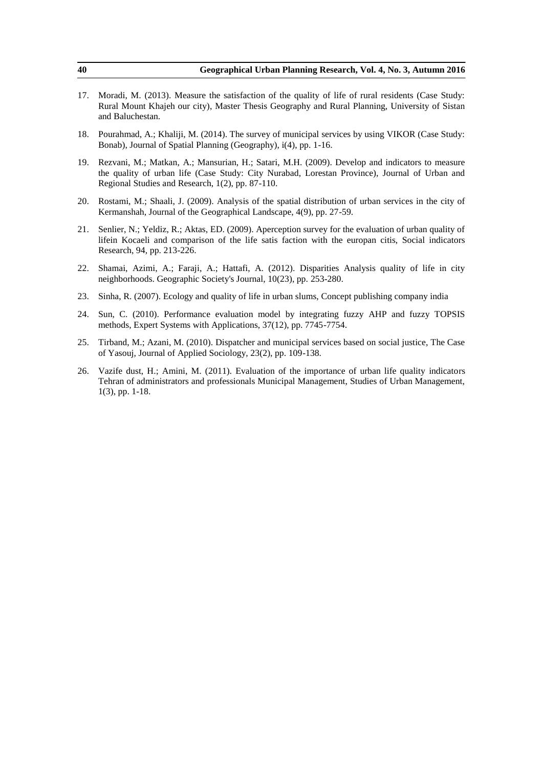| 40  | Geographical Urban Planning Research, Vol. 4, No. 3, Autumn 2016                                                                                                                                                                                    |
|-----|-----------------------------------------------------------------------------------------------------------------------------------------------------------------------------------------------------------------------------------------------------|
| 17. | Moradi, M. (2013). Measure the satisfaction of the quality of life of rural residents (Case Study:<br>Rural Mount Khajeh our city), Master Thesis Geography and Rural Planning, University of Sistan<br>and Baluchestan.                            |
| 18. | Pourahmad, A.; Khaliji, M. (2014). The survey of municipal services by using VIKOR (Case Study:<br>Bonab), Journal of Spatial Planning (Geography), i(4), pp. 1-16.                                                                                 |
| 19. | Rezvani, M.; Matkan, A.; Mansurian, H.; Satari, M.H. (2009). Develop and indicators to measure<br>the quality of urban life (Case Study: City Nurabad, Lorestan Province), Journal of Urban and<br>Regional Studies and Research, 1(2), pp. 87-110. |
| 20. | Rostami, M.; Shaali, J. (2009). Analysis of the spatial distribution of urban services in the city of<br>Kermanshah, Journal of the Geographical Landscape, 4(9), pp. 27-59.                                                                        |
| 21. | Senlier, N.; Yeldiz, R.; Aktas, ED. (2009). Aperception survey for the evaluation of urban quality of<br>lifein Kocaeli and comparison of the life satis faction with the europan citis, Social indicators<br>Research, 94, pp. 213-226.            |
| 22. | Shamai, Azimi, A.; Faraji, A.; Hattafi, A. (2012). Disparities Analysis quality of life in city<br>neighborhoods. Geographic Society's Journal, 10(23), pp. 253-280.                                                                                |
| 23. | Sinha, R. (2007). Ecology and quality of life in urban slums, Concept publishing company india                                                                                                                                                      |
| 24. | Sun, C. (2010). Performance evaluation model by integrating fuzzy AHP and fuzzy TOPSIS<br>methods, Expert Systems with Applications, 37(12), pp. 7745-7754.                                                                                         |
| 25. | Tirband, M.; Azani, M. (2010). Dispatcher and municipal services based on social justice, The Case<br>of Yasouj, Journal of Applied Sociology, 23(2), pp. 109-138.                                                                                  |
| 26. | Vazife dust, H.; Amini, M. (2011). Evaluation of the importance of urban life quality indicators<br>Tehran of administrators and professionals Municipal Management, Studies of Urban Management,<br>$1(3)$ , pp. 1-18.                             |
|     |                                                                                                                                                                                                                                                     |
|     |                                                                                                                                                                                                                                                     |
|     |                                                                                                                                                                                                                                                     |
|     |                                                                                                                                                                                                                                                     |
|     |                                                                                                                                                                                                                                                     |
|     |                                                                                                                                                                                                                                                     |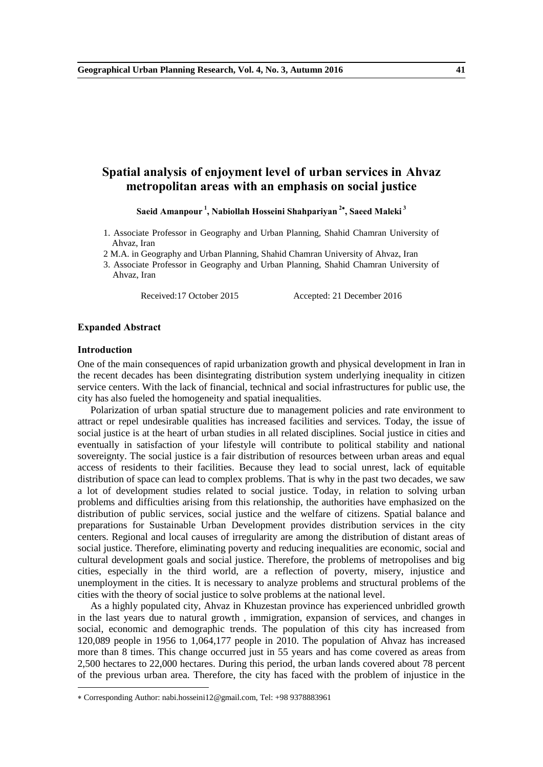# **Spatial analysis of enjoyment level of urban services in Ahvaz metropolitan areas with an emphasis on social justice**

**Saeid Amanpour <sup>1</sup> , Nabiollah Hosseini Shahpariyan <sup>2</sup> , Saeed Maleki <sup>3</sup>**

- 1. Associate Professor in Geography and Urban Planning, Shahid Chamran University of Ahvaz, Iran
- 2 M.A. in Geography and Urban Planning, Shahid Chamran University of Ahvaz, Iran
- 3. Associate Professor in Geography and Urban Planning, Shahid Chamran University of Ahvaz, Iran

Received:17 October 2015 Accepted: 21 December 2016

#### **Expanded Abstract**

#### **Introduction**

-

One of the main consequences of rapid urbanization growth and physical development in Iran in the recent decades has been disintegrating distribution system underlying inequality in citizen service centers. With the lack of financial, technical and social infrastructures for public use, the city has also fueled the homogeneity and spatial inequalities.

Polarization of urban spatial structure due to management policies and rate environment to attract or repel undesirable qualities has increased facilities and services. Today, the issue of social justice is at the heart of urban studies in all related disciplines. Social justice in cities and eventually in satisfaction of your lifestyle will contribute to political stability and national sovereignty. The social justice is a fair distribution of resources between urban areas and equal access of residents to their facilities. Because they lead to social unrest, lack of equitable distribution of space can lead to complex problems. That is why in the past two decades, we saw a lot of development studies related to social justice. Today, in relation to solving urban problems and difficulties arising from this relationship, the authorities have emphasized on the distribution of public services, social justice and the welfare of citizens. Spatial balance and preparations for Sustainable Urban Development provides distribution services in the city centers. Regional and local causes of irregularity are among the distribution of distant areas of social justice. Therefore, eliminating poverty and reducing inequalities are economic, social and cultural development goals and social justice. Therefore, the problems of metropolises and big cities, especially in the third world, are a reflection of poverty, misery, injustice and unemployment in the cities. It is necessary to analyze problems and structural problems of the cities with the theory of social justice to solve problems at the national level.

As a highly populated city, Ahvaz in Khuzestan province has experienced unbridled growth in the last years due to natural growth , immigration, expansion of services, and changes in social, economic and demographic trends. The population of this city has increased from 120,089 people in 1956 to 1,064,177 people in 2010. The population of Ahvaz has increased more than 8 times. This change occurred just in 55 years and has come covered as areas from 2,500 hectares to 22,000 hectares. During this period, the urban lands covered about 78 percent of the previous urban area. Therefore, the city has faced with the problem of injustice in the

Corresponding Author: nabi.hosseini12@gmail.com, Tel: +98 9378883961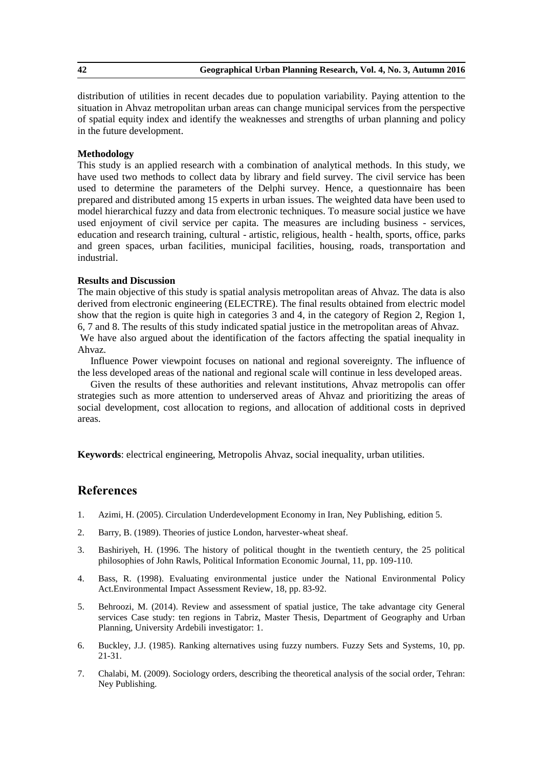distribution of utilities in recent decades due to population variability. Paying attention to the situation in Ahvaz metropolitan urban areas can change municipal services from the perspective of spatial equity index and identify the weaknesses and strengths of urban planning and policy in the future development.

## **Methodology**

This study is an applied research with a combination of analytical methods. In this study, we have used two methods to collect data by library and field survey. The civil service has been used to determine the parameters of the Delphi survey. Hence, a questionnaire has been prepared and distributed among 15 experts in urban issues. The weighted data have been used to model hierarchical fuzzy and data from electronic techniques. To measure social justice we have used enjoyment of civil service per capita. The measures are including business - services, education and research training, cultural - artistic, religious, health - health, sports, office, parks and green spaces, urban facilities, municipal facilities, housing, roads, transportation and industrial.

## **Results and Discussion**

The main objective of this study is spatial analysis metropolitan areas of Ahvaz. The data is also derived from electronic engineering (ELECTRE). The final results obtained from electric model show that the region is quite high in categories 3 and 4, in the category of Region 2, Region 1, 6, 7 and 8. The results of this study indicated spatial justice in the metropolitan areas of Ahvaz. We have also argued about the identification of the factors affecting the spatial inequality in

Ahvaz.

Influence Power viewpoint focuses on national and regional sovereignty. The influence of the less developed areas of the national and regional scale will continue in less developed areas.

Given the results of these authorities and relevant institutions, Ahvaz metropolis can offer strategies such as more attention to underserved areas of Ahvaz and prioritizing the areas of social development, cost allocation to regions, and allocation of additional costs in deprived areas.

**Keywords**: electrical engineering, Metropolis Ahvaz, social inequality, urban utilities.

- 1. Azimi, H. (2005). Circulation Underdevelopment Economy in Iran, Ney Publishing, edition 5.
- 2. Barry, B. (1989). Theories of justice London, harvester-wheat sheaf.
- 3. Bashiriyeh, H. (1996. The history of political thought in the twentieth century, the 25 political philosophies of John Rawls, Political Information Economic Journal, 11, pp. 109-110.
- 4. Bass, R. (1998). Evaluating environmental justice under the National Environmental Policy Act.Environmental Impact Assessment Review, 18, pp. 83-92.
- 5. Behroozi, M. (2014). Review and assessment of spatial justice, The take advantage city General services Case study: ten regions in Tabriz, Master Thesis, Department of Geography and Urban Planning, University Ardebili investigator: 1.
- 6. Buckley, J.J. (1985). Ranking alternatives using fuzzy numbers. Fuzzy Sets and Systems, 10, pp. 21-31.
- 7. Chalabi, M. (2009). Sociology orders, describing the theoretical analysis of the social order, Tehran: Ney Publishing.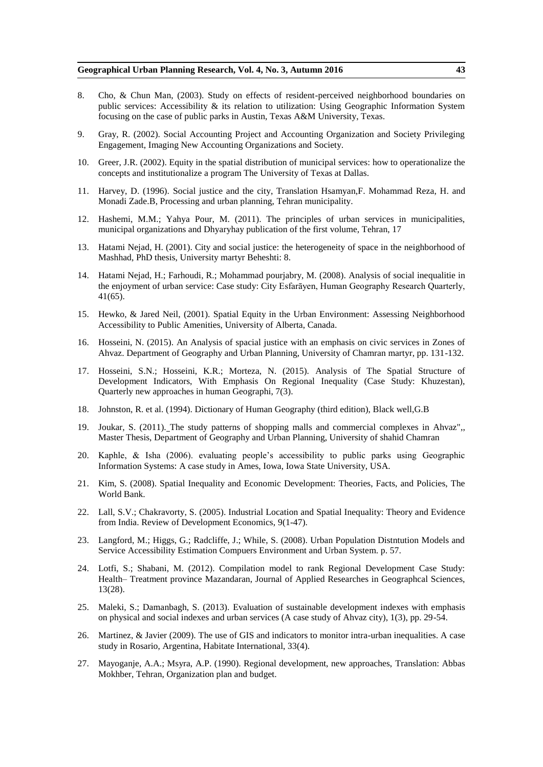#### **Geographical Urban Planning Research, Vol. 4, No. 3, Autumn 2016 43**

- 8. Cho, & Chun Man, (2003). Study on effects of resident-perceived neighborhood boundaries on public services: Accessibility & its relation to utilization: Using Geographic Information System focusing on the case of public parks in Austin, Texas A&M University, Texas.
- 9. Gray, R. (2002). Social Accounting Project and Accounting Organization and Society Privileging Engagement, Imaging New Accounting Organizations and Society.
- 10. Greer, J.R. (2002). Equity in the spatial distribution of municipal services: how to operationalize the concepts and institutionalize a program The University of Texas at Dallas.
- 11. Harvey, D. (1996). Social justice and the city, Translation Hsamyan,F. Mohammad Reza, H. and Monadi Zade.B, Processing and urban planning, Tehran municipality.
- 12. Hashemi, M.M.; Yahya Pour, M. (2011). The principles of urban services in municipalities, municipal organizations and Dhyaryhay publication of the first volume, Tehran, 17
- 13. Hatami Nejad, H. (2001). City and social justice: the heterogeneity of space in the neighborhood of Mashhad, PhD thesis, University martyr Beheshti: 8.
- 14. Hatami Nejad, H.; Farhoudi, R.; Mohammad pourjabry, M. (2008). Analysis of social inequalitie in the enjoyment of urban service: Case study: City Esfarāyen, Human Geography Research Quarterly, 41(65).
- 15. Hewko, & Jared Neil, (2001). Spatial Equity in the Urban Environment: Assessing Neighborhood Accessibility to Public Amenities, University of Alberta, Canada.
- 16. Hosseini, N. (2015). An Analysis of spacial justice with an emphasis on civic services in Zones of Ahvaz. Department of Geography and Urban Planning, University of Chamran martyr, pp. 131-132.
- 17. Hosseini, S.N.; Hosseini, K.R.; Morteza, N. (2015). Analysis of The Spatial Structure of Development Indicators, With Emphasis On Regional Inequality (Case Study: Khuzestan), Quarterly new approaches in human Geographi, 7(3).
- 18. Johnston, R. et al. (1994). Dictionary of Human Geography (third edition), Black well,G.B
- 19. Joukar, S. (2011). The study patterns of shopping malls and commercial complexes in Ahvaz",, Master Thesis, Department of Geography and Urban Planning, University of shahid Chamran
- 20. Kaphle, & Isha (2006). evaluating people's accessibility to public parks using Geographic Information Systems: A case study in Ames, Iowa, Iowa State University, USA.
- 21. Kim, S. (2008). Spatial Inequality and Economic Development: Theories, Facts, and Policies, The World Bank.
- 22. Lall, S.V.; Chakravorty, S. (2005). Industrial Location and Spatial Inequality: Theory and Evidence from India. Review of Development Economics, 9(1-47).
- 23. Langford, M.; Higgs, G.; Radcliffe, J.; While, S. (2008). Urban Population Distntution Models and Service Accessibility Estimation Compuers Environment and Urban System. p. 57.
- 24. Lotfi, S.; Shabani, M. (2012). Compilation model to rank Regional Development Case Study: Health– Treatment province Mazandaran, Journal of Applied Researches in Geographcal Sciences, 13(28).
- 25. Maleki, S.; Damanbagh, S. (2013). Evaluation of sustainable development indexes with emphasis on physical and social indexes and urban services (A case study of Ahvaz city), 1(3), pp. 29-54.
- 26. Martinez, & Javier (2009). The use of GIS and indicators to monitor intra-urban inequalities. A case study in Rosario, Argentina, Habitate International, 33(4).
- 27. Mayoganje, A.A.; Msyra, A.P. (1990). Regional development, new approaches, Translation: Abbas Mokhber, Tehran, Organization plan and budget.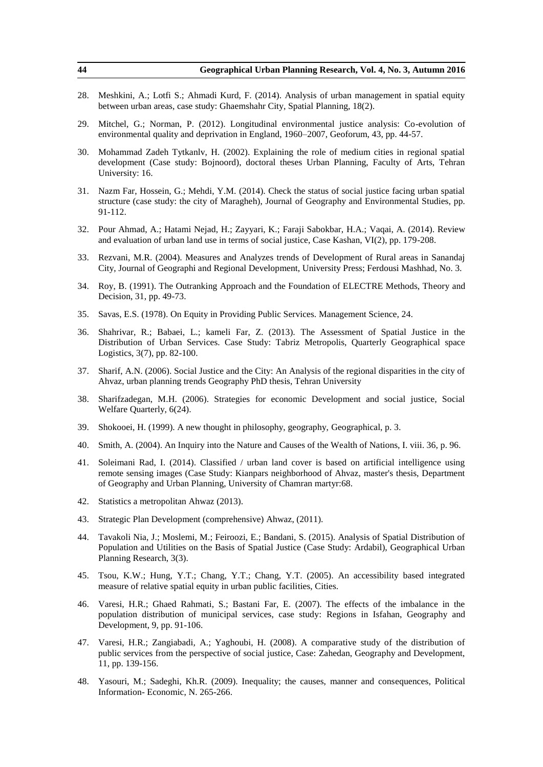| 44  | Geographical Urban Planning Research, Vol. 4, No. 3, Autumn 2016                                                                                                                                                                                                         |
|-----|--------------------------------------------------------------------------------------------------------------------------------------------------------------------------------------------------------------------------------------------------------------------------|
| 28. | Meshkini, A.; Lotfi S.; Ahmadi Kurd, F. (2014). Analysis of urban management in spatial equity<br>between urban areas, case study: Ghaemshahr City, Spatial Planning, 18(2).                                                                                             |
| 29. | Mitchel, G.; Norman, P. (2012). Longitudinal environmental justice analysis: Co-evolution of<br>environmental quality and deprivation in England, 1960-2007, Geoforum, 43, pp. 44-57.                                                                                    |
| 30. | Mohammad Zadeh Tytkanlv, H. (2002). Explaining the role of medium cities in regional spatial<br>development (Case study: Bojnoord), doctoral theses Urban Planning, Faculty of Arts, Tehran<br>University: 16.                                                           |
| 31. | Nazm Far, Hossein, G.; Mehdi, Y.M. (2014). Check the status of social justice facing urban spatial<br>structure (case study: the city of Maragheh), Journal of Geography and Environmental Studies, pp.<br>91-112.                                                       |
| 32. | Pour Ahmad, A.; Hatami Nejad, H.; Zayyari, K.; Faraji Sabokbar, H.A.; Vaqai, A. (2014). Review<br>and evaluation of urban land use in terms of social justice, Case Kashan, VI(2), pp. 179-208.                                                                          |
| 33. | Rezvani, M.R. (2004). Measures and Analyzes trends of Development of Rural areas in Sanandaj<br>City, Journal of Geographi and Regional Development, University Press; Ferdousi Mashhad, No. 3.                                                                          |
| 34. | Roy, B. (1991). The Outranking Approach and the Foundation of ELECTRE Methods, Theory and<br>Decision, 31, pp. 49-73.                                                                                                                                                    |
| 35. | Savas, E.S. (1978). On Equity in Providing Public Services. Management Science, 24.                                                                                                                                                                                      |
| 36. | Shahrivar, R.; Babaei, L.; kameli Far, Z. (2013). The Assessment of Spatial Justice in the<br>Distribution of Urban Services. Case Study: Tabriz Metropolis, Quarterly Geographical space<br>Logistics, 3(7), pp. 82-100.                                                |
| 37. | Sharif, A.N. (2006). Social Justice and the City: An Analysis of the regional disparities in the city of<br>Ahvaz, urban planning trends Geography PhD thesis, Tehran University                                                                                         |
| 38. | Sharifzadegan, M.H. (2006). Strategies for economic Development and social justice, Social<br>Welfare Quarterly, 6(24).                                                                                                                                                  |
| 39. | Shokooei, H. (1999). A new thought in philosophy, geography, Geographical, p. 3.                                                                                                                                                                                         |
| 40. | Smith, A. (2004). An Inquiry into the Nature and Causes of the Wealth of Nations, I. viii. 36, p. 96.                                                                                                                                                                    |
| 41. | Soleimani Rad, I. (2014). Classified / urban land cover is based on artificial intelligence using<br>remote sensing images (Case Study: Kianpars neighborhood of Ahvaz, master's thesis, Department<br>of Geography and Urban Planning, University of Chamran martyr:68. |
| 42. | Statistics a metropolitan Ahwaz (2013).                                                                                                                                                                                                                                  |
| 43. | Strategic Plan Development (comprehensive) Ahwaz, (2011).                                                                                                                                                                                                                |
| 44. | Tavakoli Nia, J.; Moslemi, M.; Feiroozi, E.; Bandani, S. (2015). Analysis of Spatial Distribution of<br>Population and Utilities on the Basis of Spatial Justice (Case Study: Ardabil), Geographical Urban<br>Planning Research, 3(3).                                   |
| 45. | Tsou, K.W.; Hung, Y.T.; Chang, Y.T.; Chang, Y.T. (2005). An accessibility based integrated<br>measure of relative spatial equity in urban public facilities, Cities.                                                                                                     |
| 46. | Varesi, H.R.; Ghaed Rahmati, S.; Bastani Far, E. (2007). The effects of the imbalance in the<br>population distribution of municipal services, case study: Regions in Isfahan, Geography and<br>Development, 9, pp. 91-106.                                              |
| 47. | Varesi, H.R.; Zangiabadi, A.; Yaghoubi, H. (2008). A comparative study of the distribution of<br>public services from the perspective of social justice, Case: Zahedan, Geography and Development,<br>11, pp. 139-156.                                                   |
| 48. | Yasouri, M.; Sadeghi, Kh.R. (2009). Inequality; the causes, manner and consequences, Political<br>Information-Economic, N. 265-266.                                                                                                                                      |